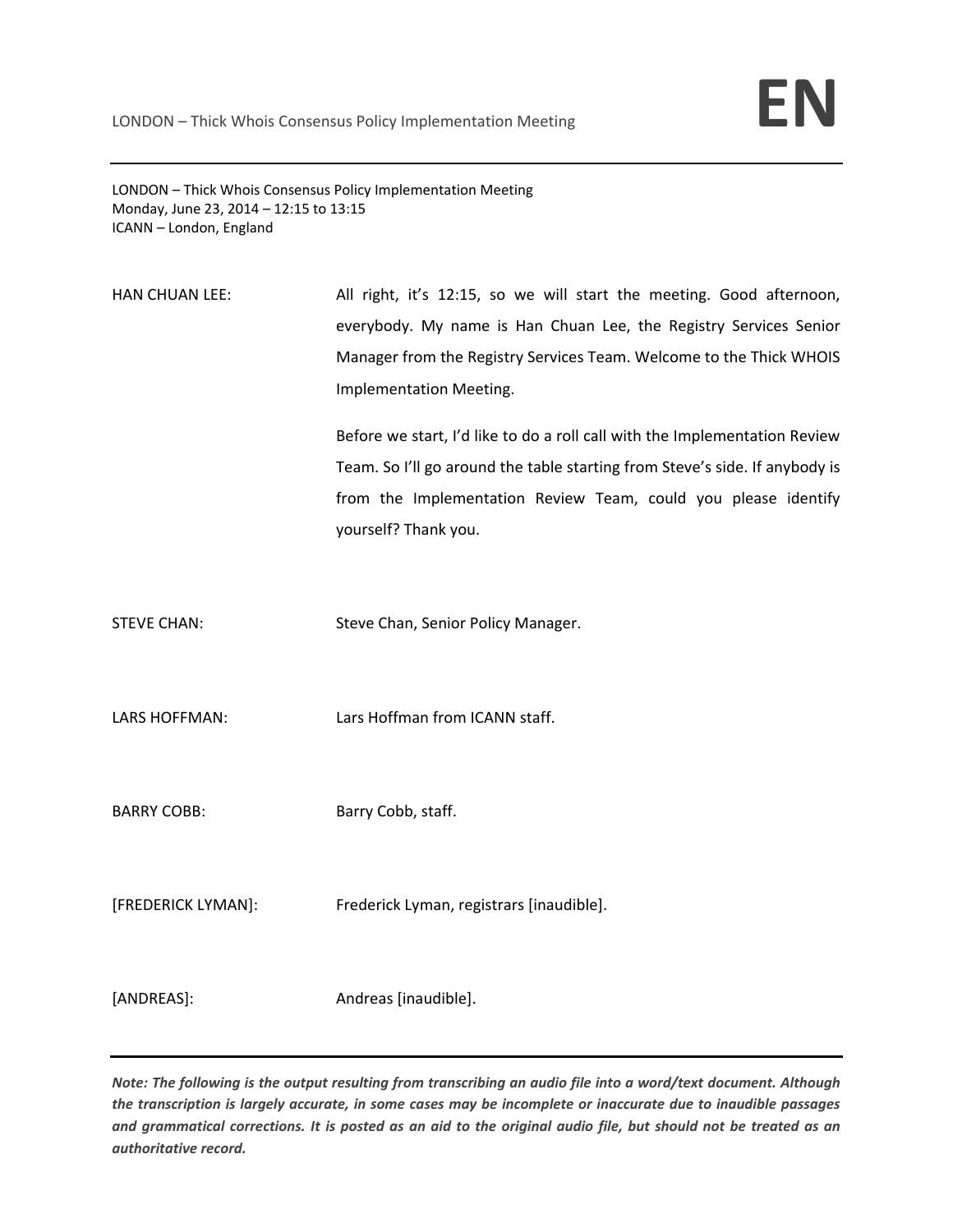LONDON – Thick Whois Consensus Policy Implementation Meeting Monday, June 23, 2014 – 12:15 to 13:15 ICANN – London, England

HAN CHUAN LEE: All right, it's 12:15, so we will start the meeting. Good afternoon, everybody. My name is Han Chuan Lee, the Registry Services Senior Manager from the Registry Services Team. Welcome to the Thick WHOIS Implementation Meeting.

> Before we start, I'd like to do a roll call with the Implementation Review Team. So I'll go around the table starting from Steve's side. If anybody is from the Implementation Review Team, could you please identify yourself? Thank you.

STEVE CHAN: Steve Chan, Senior Policy Manager.

LARS HOFFMAN: Lars Hoffman from ICANN staff.

BARRY COBB: Barry Cobb, staff.

[FREDERICK LYMAN]: Frederick Lyman, registrars [inaudible].

[ANDREAS]: Andreas [inaudible].

Note: The following is the output resulting from transcribing an audio file into a word/text document. Although the transcription is largely accurate, in some cases may be incomplete or inaccurate due to inaudible passages and grammatical corrections. It is posted as an aid to the original audio file, but should not be treated as an *authoritative record.*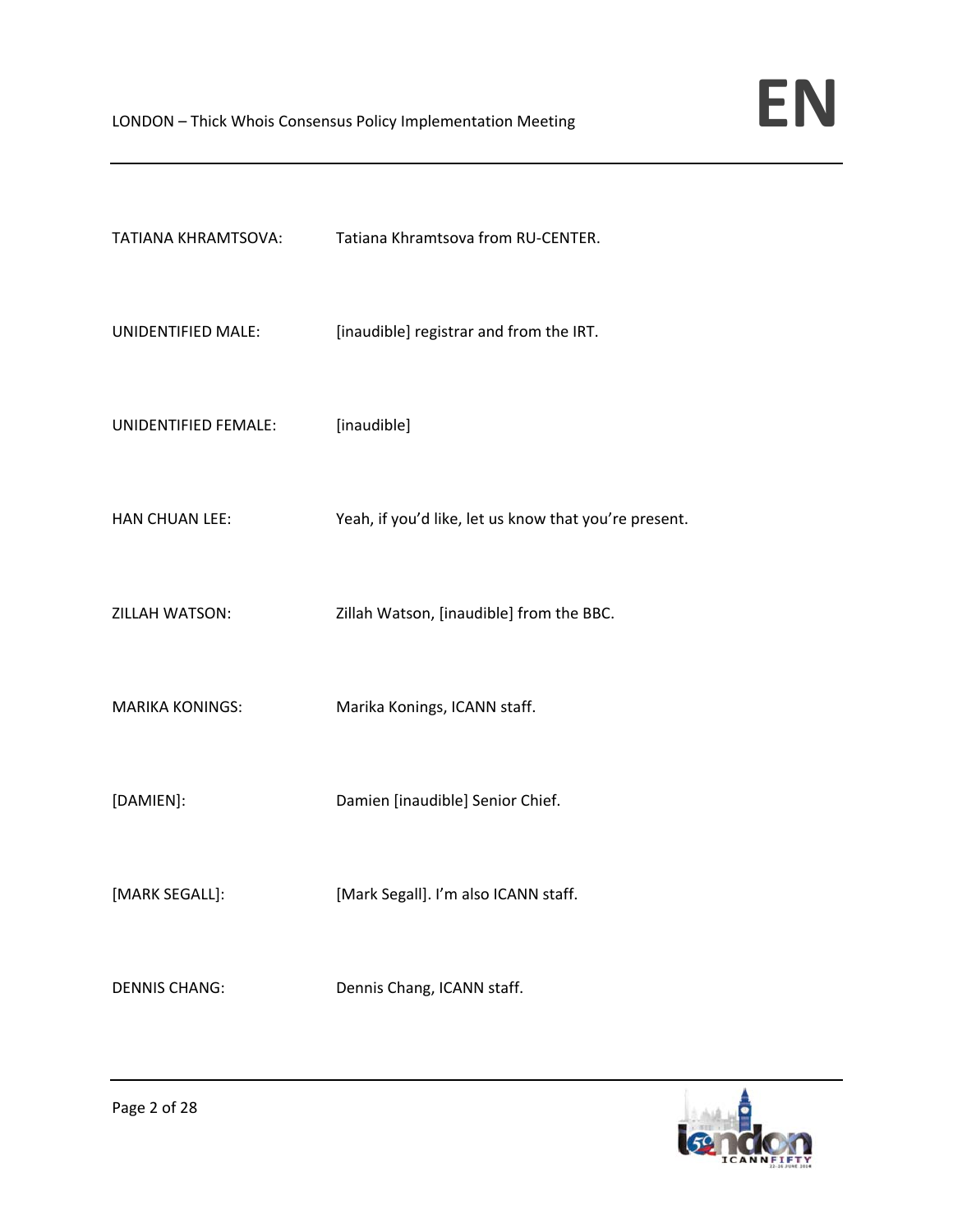| TATIANA KHRAMTSOVA:    | Tatiana Khramtsova from RU-CENTER.                    |
|------------------------|-------------------------------------------------------|
| UNIDENTIFIED MALE:     | [inaudible] registrar and from the IRT.               |
| UNIDENTIFIED FEMALE:   | [inaudible]                                           |
| <b>HAN CHUAN LEE:</b>  | Yeah, if you'd like, let us know that you're present. |
| ZILLAH WATSON:         | Zillah Watson, [inaudible] from the BBC.              |
| <b>MARIKA KONINGS:</b> | Marika Konings, ICANN staff.                          |
| [DAMIEN]:              | Damien [inaudible] Senior Chief.                      |
| [MARK SEGALL]:         | [Mark Segall]. I'm also ICANN staff.                  |
| <b>DENNIS CHANG:</b>   | Dennis Chang, ICANN staff.                            |

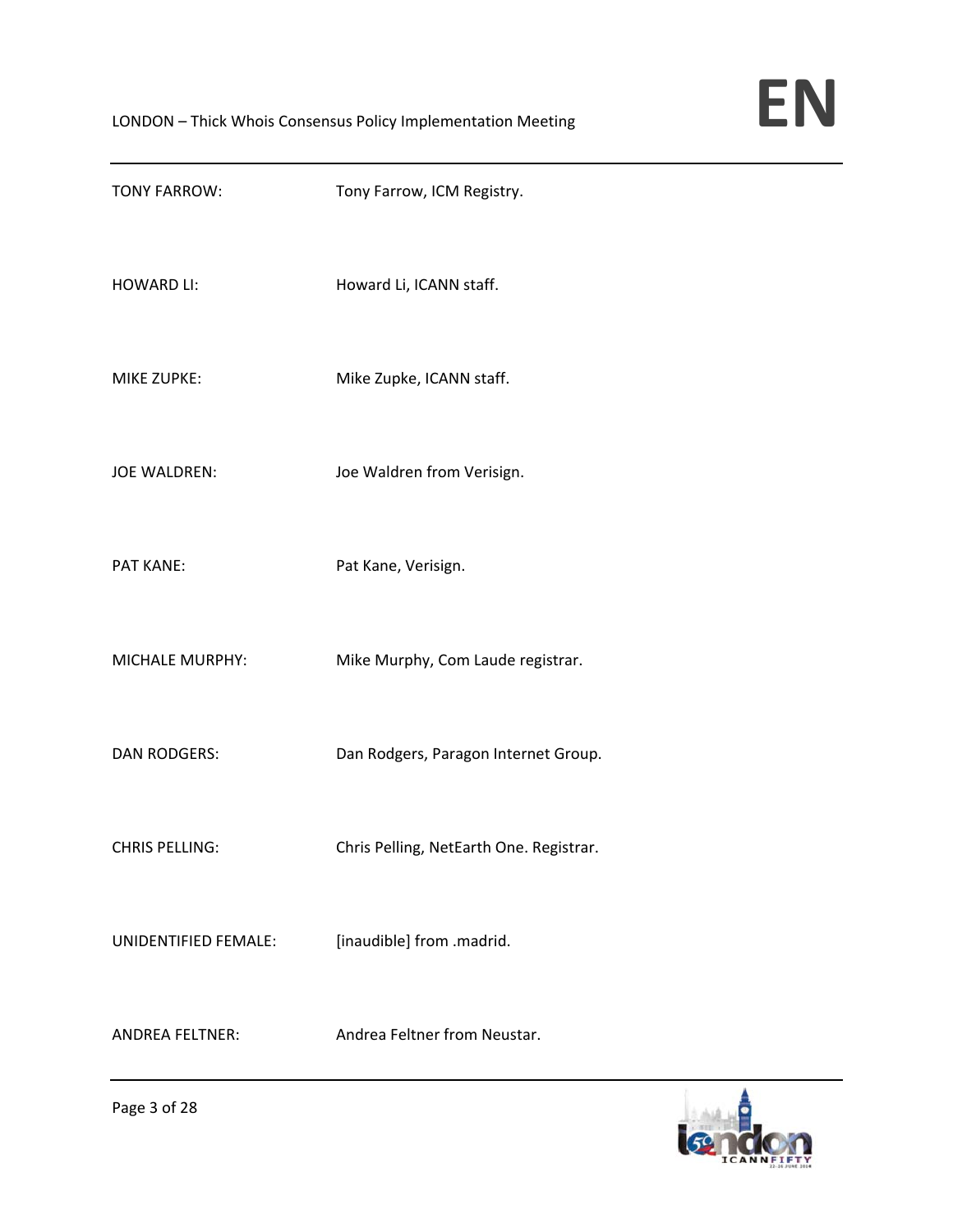| <b>TONY FARROW:</b>    | Tony Farrow, ICM Registry.              |
|------------------------|-----------------------------------------|
| <b>HOWARD LI:</b>      | Howard Li, ICANN staff.                 |
| <b>MIKE ZUPKE:</b>     | Mike Zupke, ICANN staff.                |
| <b>JOE WALDREN:</b>    | Joe Waldren from Verisign.              |
| PAT KANE:              | Pat Kane, Verisign.                     |
| MICHALE MURPHY:        | Mike Murphy, Com Laude registrar.       |
| <b>DAN RODGERS:</b>    | Dan Rodgers, Paragon Internet Group.    |
| <b>CHRIS PELLING:</b>  | Chris Pelling, NetEarth One. Registrar. |
| UNIDENTIFIED FEMALE:   | [inaudible] from .madrid.               |
| <b>ANDREA FELTNER:</b> | Andrea Feltner from Neustar.            |

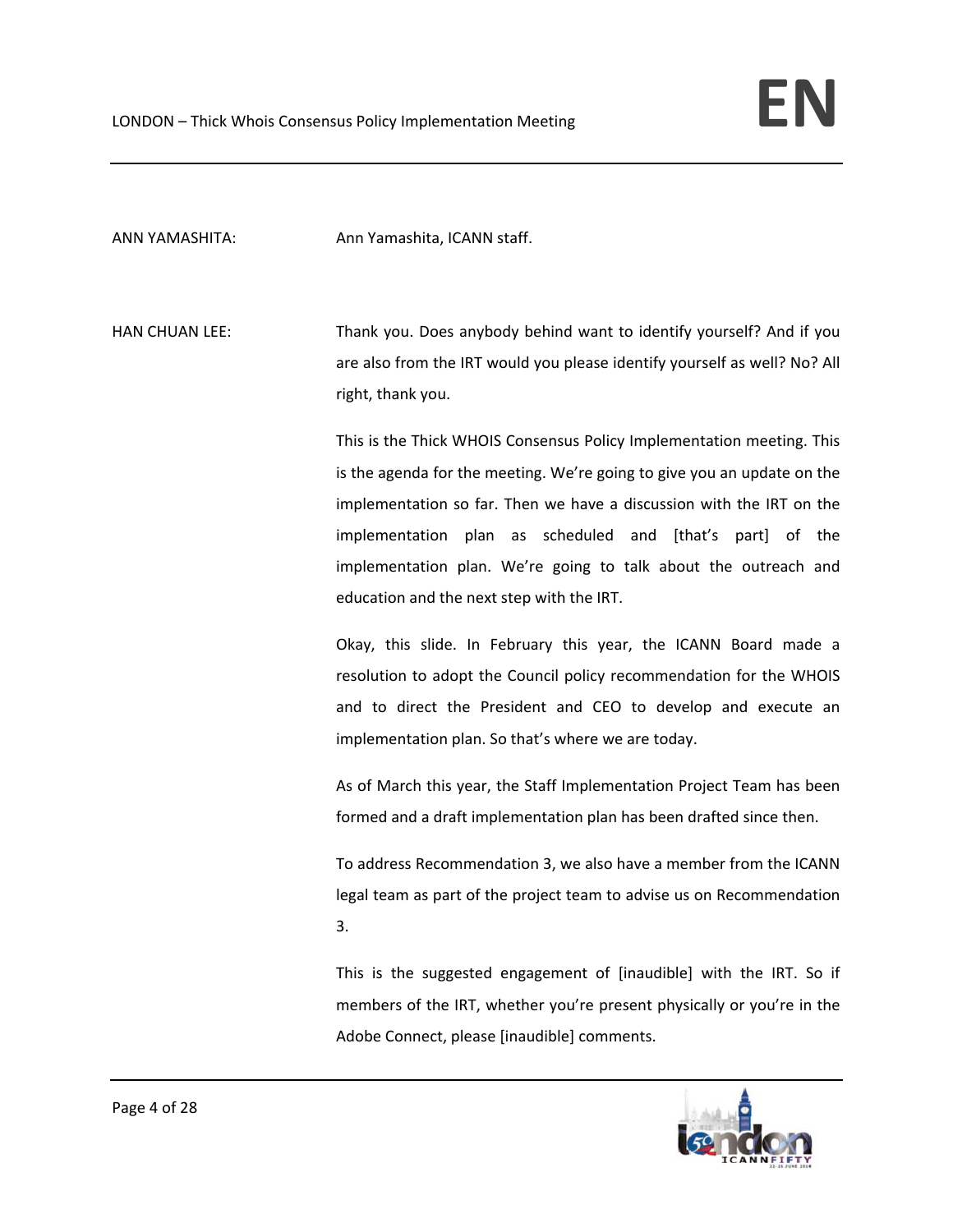ANN YAMASHITA: Ann Yamashita, ICANN staff.

HAN CHUAN LEE: Thank you. Does anybody behind want to identify yourself? And if you are also from the IRT would you please identify yourself as well? No? All right, thank you.

> This is the Thick WHOIS Consensus Policy Implementation meeting. This is the agenda for the meeting. We're going to give you an update on the implementation so far. Then we have a discussion with the IRT on the implementation plan as scheduled and [that's part] of the implementation plan. We're going to talk about the outreach and education and the next step with the IRT.

> Okay, this slide. In February this year, the ICANN Board made a resolution to adopt the Council policy recommendation for the WHOIS and to direct the President and CEO to develop and execute an implementation plan. So that's where we are today.

> As of March this year, the Staff Implementation Project Team has been formed and a draft implementation plan has been drafted since then.

> To address Recommendation 3, we also have a member from the ICANN legal team as part of the project team to advise us on Recommendation 3.

> This is the suggested engagement of [inaudible] with the IRT. So if members of the IRT, whether you're present physically or you're in the Adobe Connect, please [inaudible] comments.

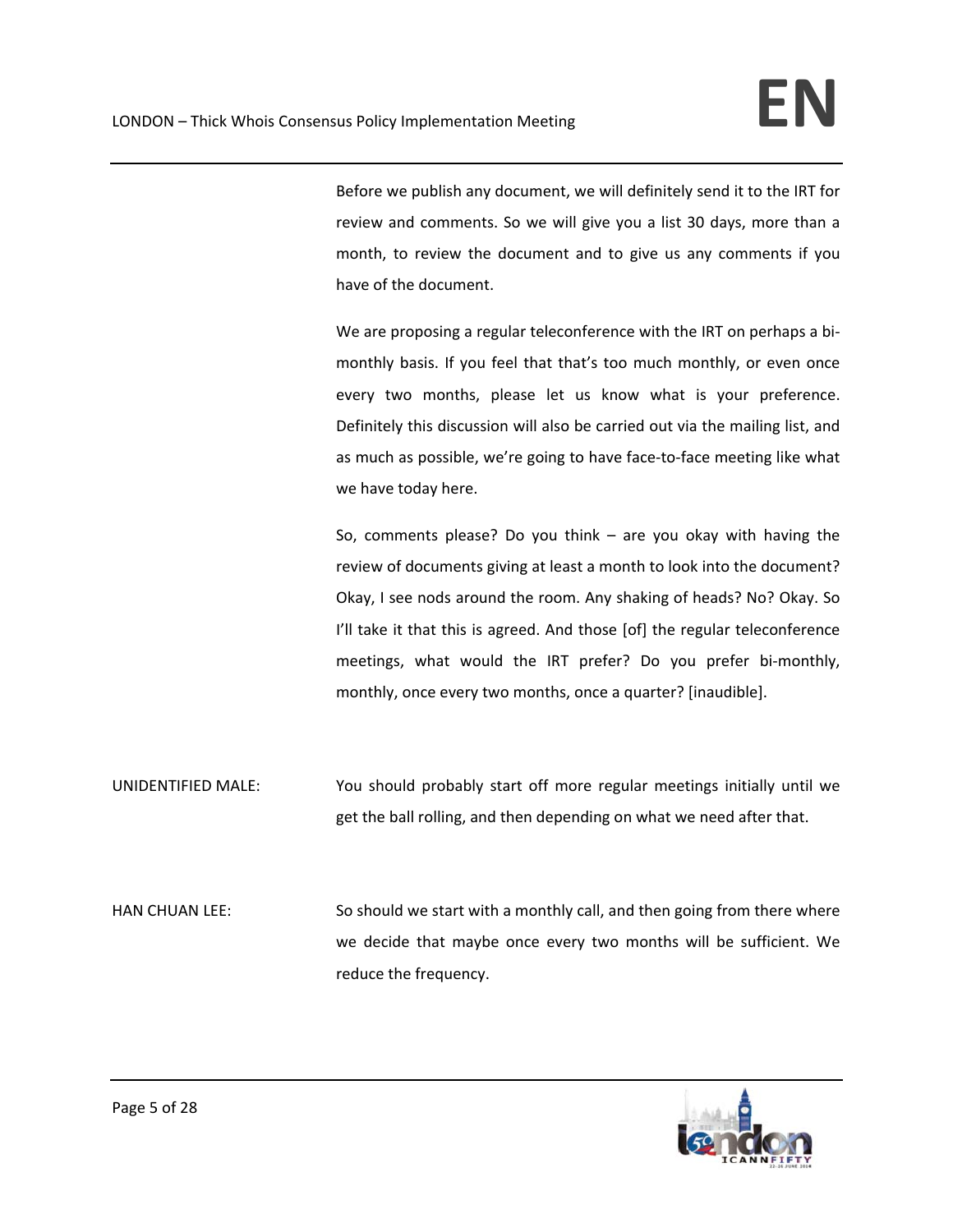Before we publish any document, we will definitely send it to the IRT for review and comments. So we will give you a list 30 days, more than a month, to review the document and to give us any comments if you have of the document.

We are proposing a regular teleconference with the IRT on perhaps a bimonthly basis. If you feel that that's too much monthly, or even once every two months, please let us know what is your preference. Definitely this discussion will also be carried out via the mailing list, and as much as possible, we're going to have face‐to‐face meeting like what we have today here.

So, comments please? Do you think – are you okay with having the review of documents giving at least a month to look into the document? Okay, I see nods around the room. Any shaking of heads? No? Okay. So I'll take it that this is agreed. And those [of] the regular teleconference meetings, what would the IRT prefer? Do you prefer bi-monthly, monthly, once every two months, once a quarter? [inaudible].

UNIDENTIFIED MALE: You should probably start off more regular meetings initially until we get the ball rolling, and then depending on what we need after that.

HAN CHUAN LEE: So should we start with a monthly call, and then going from there where we decide that maybe once every two months will be sufficient. We reduce the frequency.

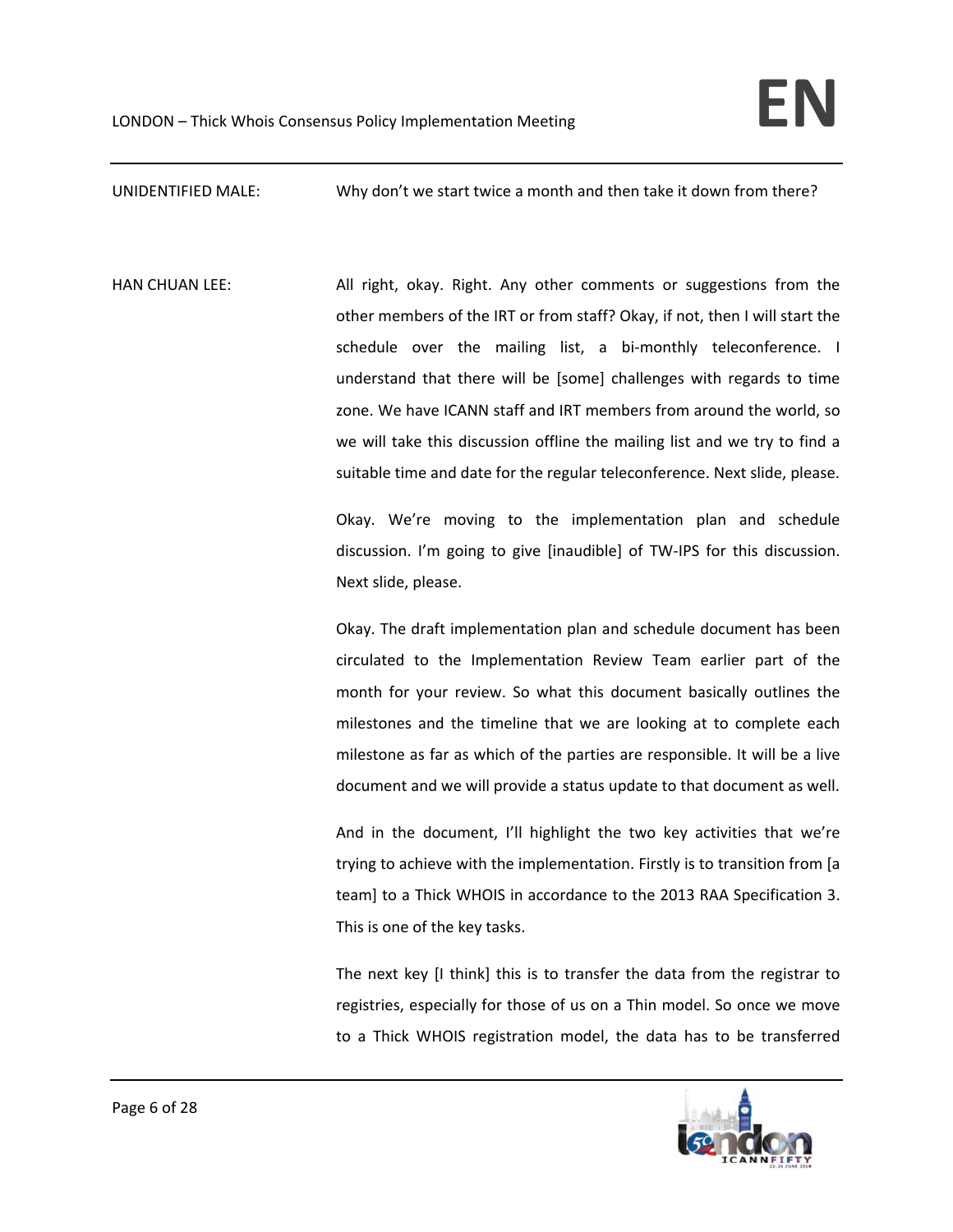UNIDENTIFIED MALE: Why don't we start twice a month and then take it down from there?

HAN CHUAN LEE: All right, okay. Right. Any other comments or suggestions from the other members of the IRT or from staff? Okay, if not, then I will start the schedule over the mailing list, a bi-monthly teleconference. I understand that there will be [some] challenges with regards to time zone. We have ICANN staff and IRT members from around the world, so we will take this discussion offline the mailing list and we try to find a suitable time and date for the regular teleconference. Next slide, please.

> Okay. We're moving to the implementation plan and schedule discussion. I'm going to give [inaudible] of TW‐IPS for this discussion. Next slide, please.

> Okay. The draft implementation plan and schedule document has been circulated to the Implementation Review Team earlier part of the month for your review. So what this document basically outlines the milestones and the timeline that we are looking at to complete each milestone as far as which of the parties are responsible. It will be a live document and we will provide a status update to that document as well.

> And in the document, I'll highlight the two key activities that we're trying to achieve with the implementation. Firstly is to transition from [a team] to a Thick WHOIS in accordance to the 2013 RAA Specification 3. This is one of the key tasks.

> The next key [I think] this is to transfer the data from the registrar to registries, especially for those of us on a Thin model. So once we move to a Thick WHOIS registration model, the data has to be transferred

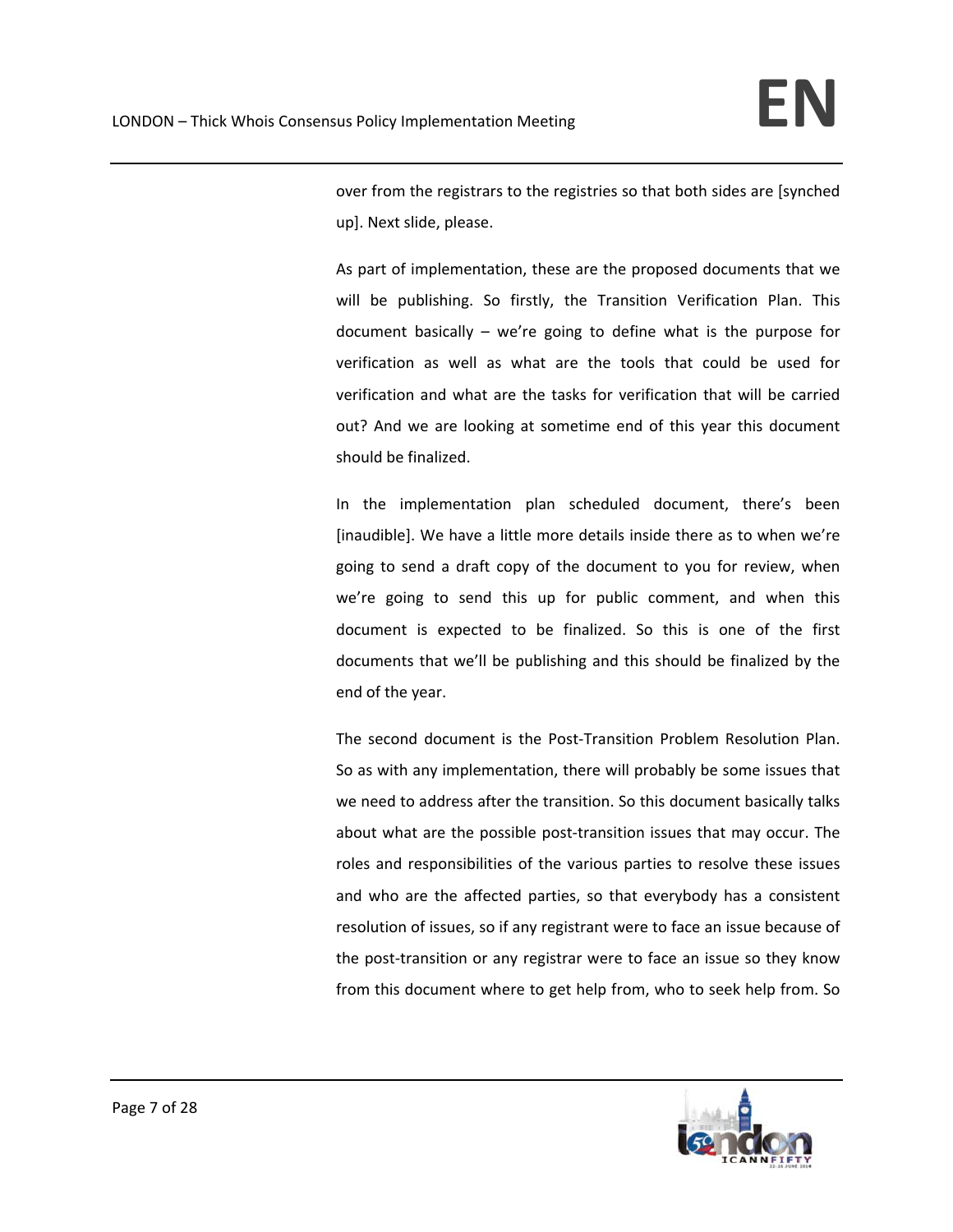over from the registrars to the registries so that both sides are [synched up]. Next slide, please.

As part of implementation, these are the proposed documents that we will be publishing. So firstly, the Transition Verification Plan. This document basically – we're going to define what is the purpose for verification as well as what are the tools that could be used for verification and what are the tasks for verification that will be carried out? And we are looking at sometime end of this year this document should be finalized.

In the implementation plan scheduled document, there's been [inaudible]. We have a little more details inside there as to when we're going to send a draft copy of the document to you for review, when we're going to send this up for public comment, and when this document is expected to be finalized. So this is one of the first documents that we'll be publishing and this should be finalized by the end of the year.

The second document is the Post-Transition Problem Resolution Plan. So as with any implementation, there will probably be some issues that we need to address after the transition. So this document basically talks about what are the possible post‐transition issues that may occur. The roles and responsibilities of the various parties to resolve these issues and who are the affected parties, so that everybody has a consistent resolution of issues, so if any registrant were to face an issue because of the post-transition or any registrar were to face an issue so they know from this document where to get help from, who to seek help from. So

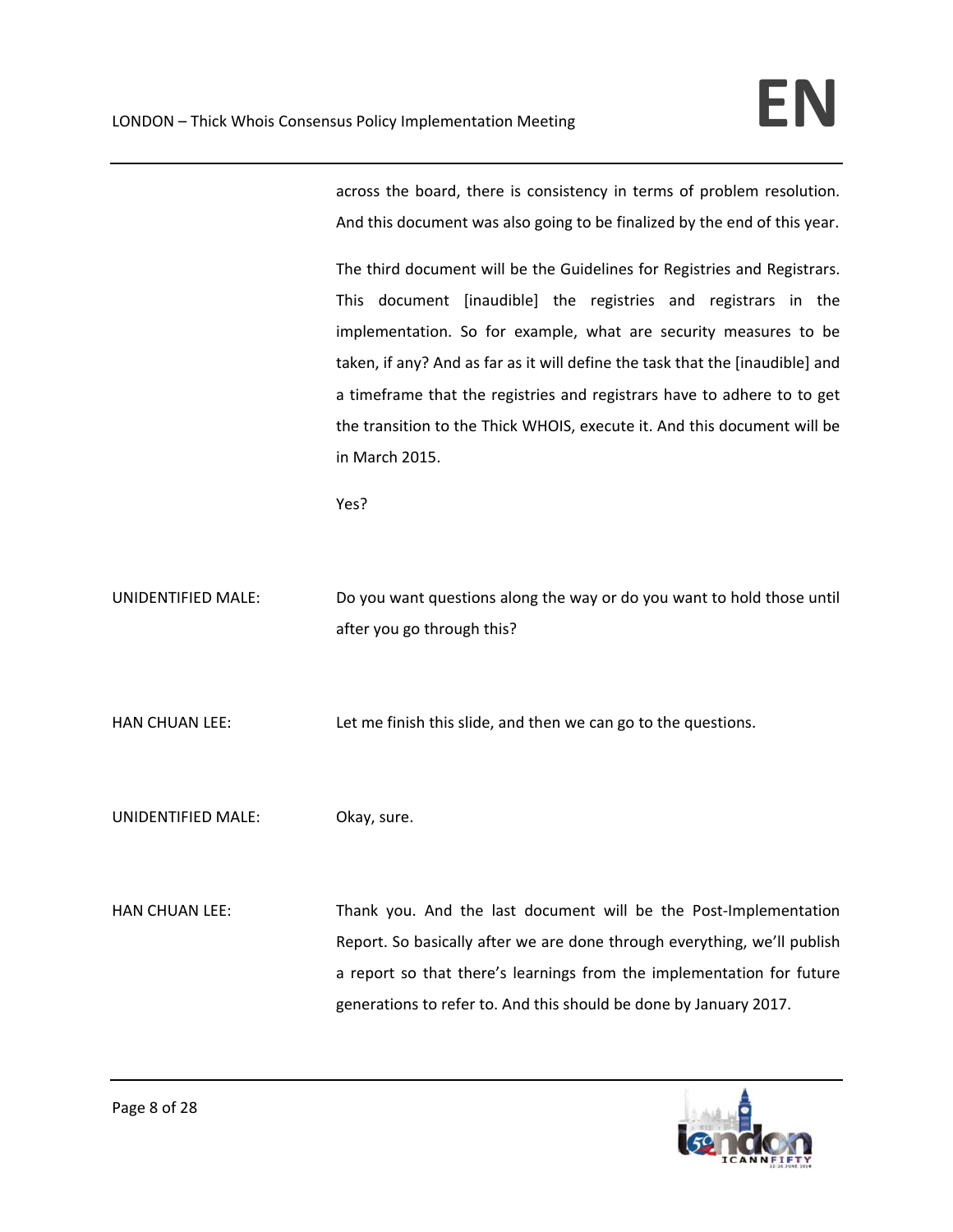across the board, there is consistency in terms of problem resolution. And this document was also going to be finalized by the end of this year.

The third document will be the Guidelines for Registries and Registrars. This document [inaudible] the registries and registrars in the implementation. So for example, what are security measures to be taken, if any? And as far as it will define the task that the [inaudible] and a timeframe that the registries and registrars have to adhere to to get the transition to the Thick WHOIS, execute it. And this document will be in March 2015.

Yes?

UNIDENTIFIED MALE: Do you want questions along the way or do you want to hold those until after you go through this?

HAN CHUAN LEE: Let me finish this slide, and then we can go to the questions.

UNIDENTIFIED MALE: Okay, sure.

HAN CHUAN LEE: Thank you. And the last document will be the Post-Implementation Report. So basically after we are done through everything, we'll publish a report so that there's learnings from the implementation for future generations to refer to. And this should be done by January 2017.

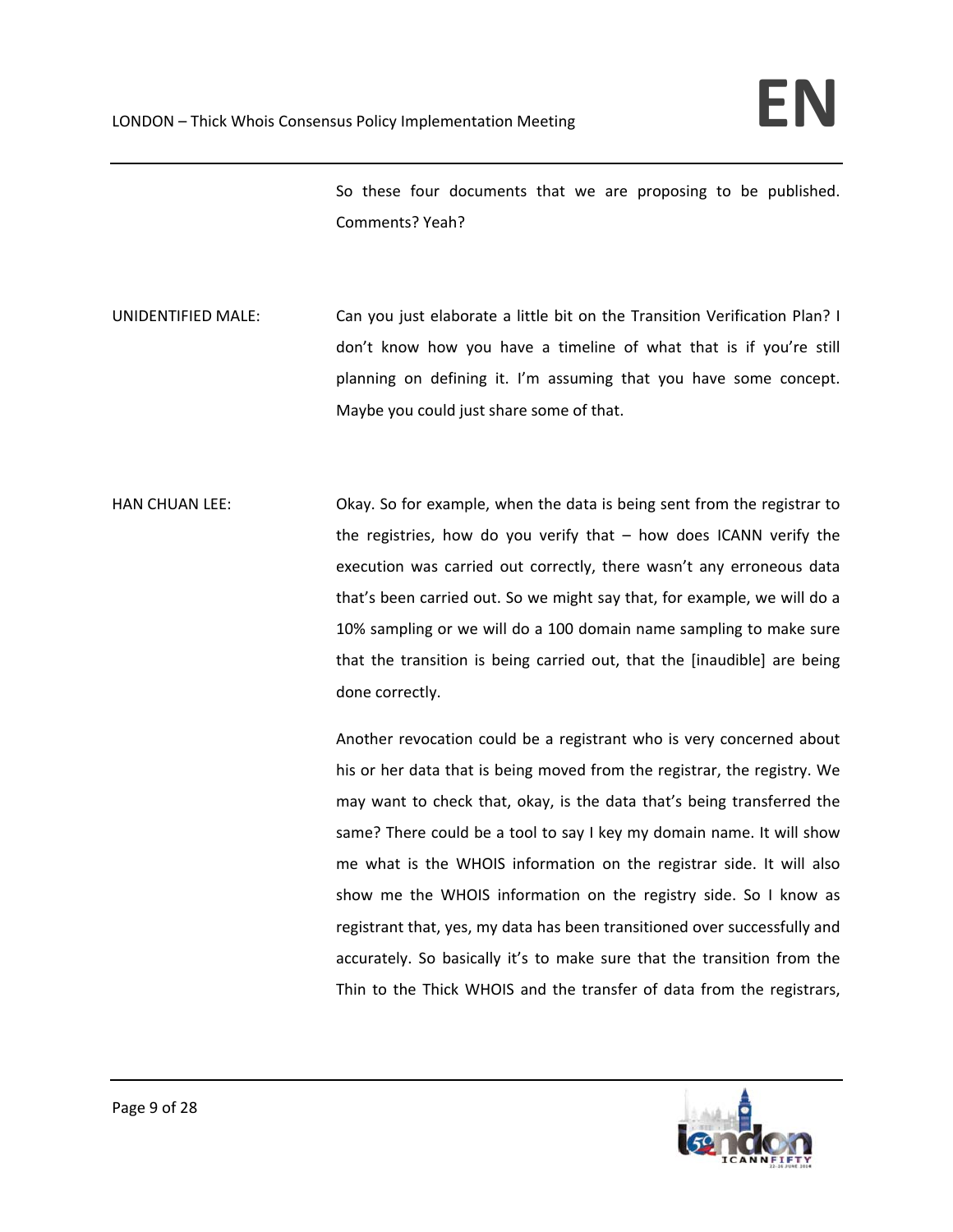So these four documents that we are proposing to be published. Comments? Yeah?

UNIDENTIFIED MALE: Can you just elaborate a little bit on the Transition Verification Plan? I don't know how you have a timeline of what that is if you're still planning on defining it. I'm assuming that you have some concept. Maybe you could just share some of that.

HAN CHUAN LEE: Okay. So for example, when the data is being sent from the registrar to the registries, how do you verify that – how does ICANN verify the execution was carried out correctly, there wasn't any erroneous data that's been carried out. So we might say that, for example, we will do a 10% sampling or we will do a 100 domain name sampling to make sure that the transition is being carried out, that the [inaudible] are being done correctly.

> Another revocation could be a registrant who is very concerned about his or her data that is being moved from the registrar, the registry. We may want to check that, okay, is the data that's being transferred the same? There could be a tool to say I key my domain name. It will show me what is the WHOIS information on the registrar side. It will also show me the WHOIS information on the registry side. So I know as registrant that, yes, my data has been transitioned over successfully and accurately. So basically it's to make sure that the transition from the Thin to the Thick WHOIS and the transfer of data from the registrars,

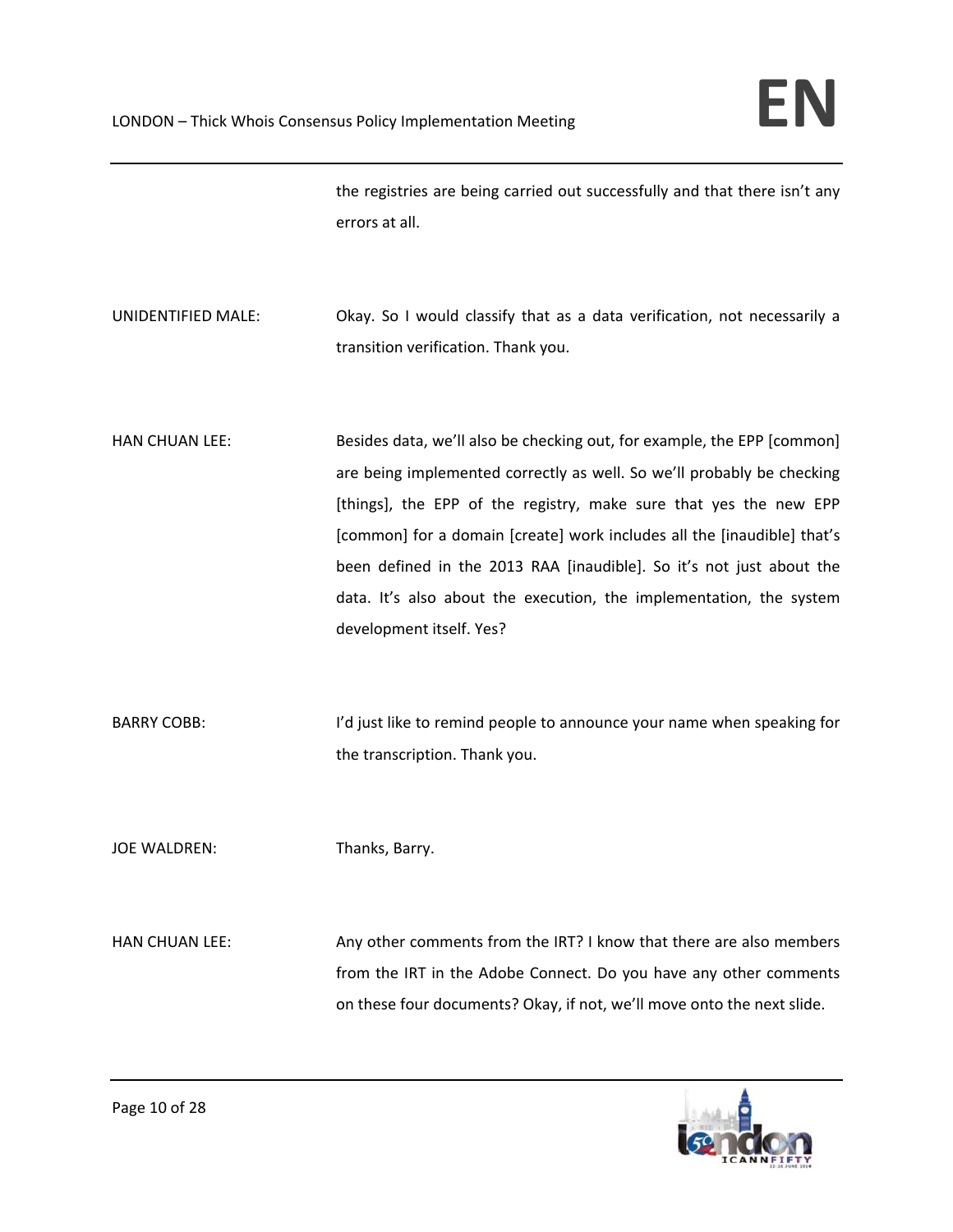the registries are being carried out successfully and that there isn't any errors at all.

- UNIDENTIFIED MALE: Okay. So I would classify that as a data verification, not necessarily a transition verification. Thank you.
- HAN CHUAN LEE: Besides data, we'll also be checking out, for example, the EPP [common] are being implemented correctly as well. So we'll probably be checking [things], the EPP of the registry, make sure that yes the new EPP [common] for a domain [create] work includes all the [inaudible] that's been defined in the 2013 RAA [inaudible]. So it's not just about the data. It's also about the execution, the implementation, the system development itself. Yes?
- BARRY COBB: I'd just like to remind people to announce your name when speaking for the transcription. Thank you.
- JOE WALDREN: Thanks, Barry.

HAN CHUAN LEE: Any other comments from the IRT? I know that there are also members from the IRT in the Adobe Connect. Do you have any other comments on these four documents? Okay, if not, we'll move onto the next slide.

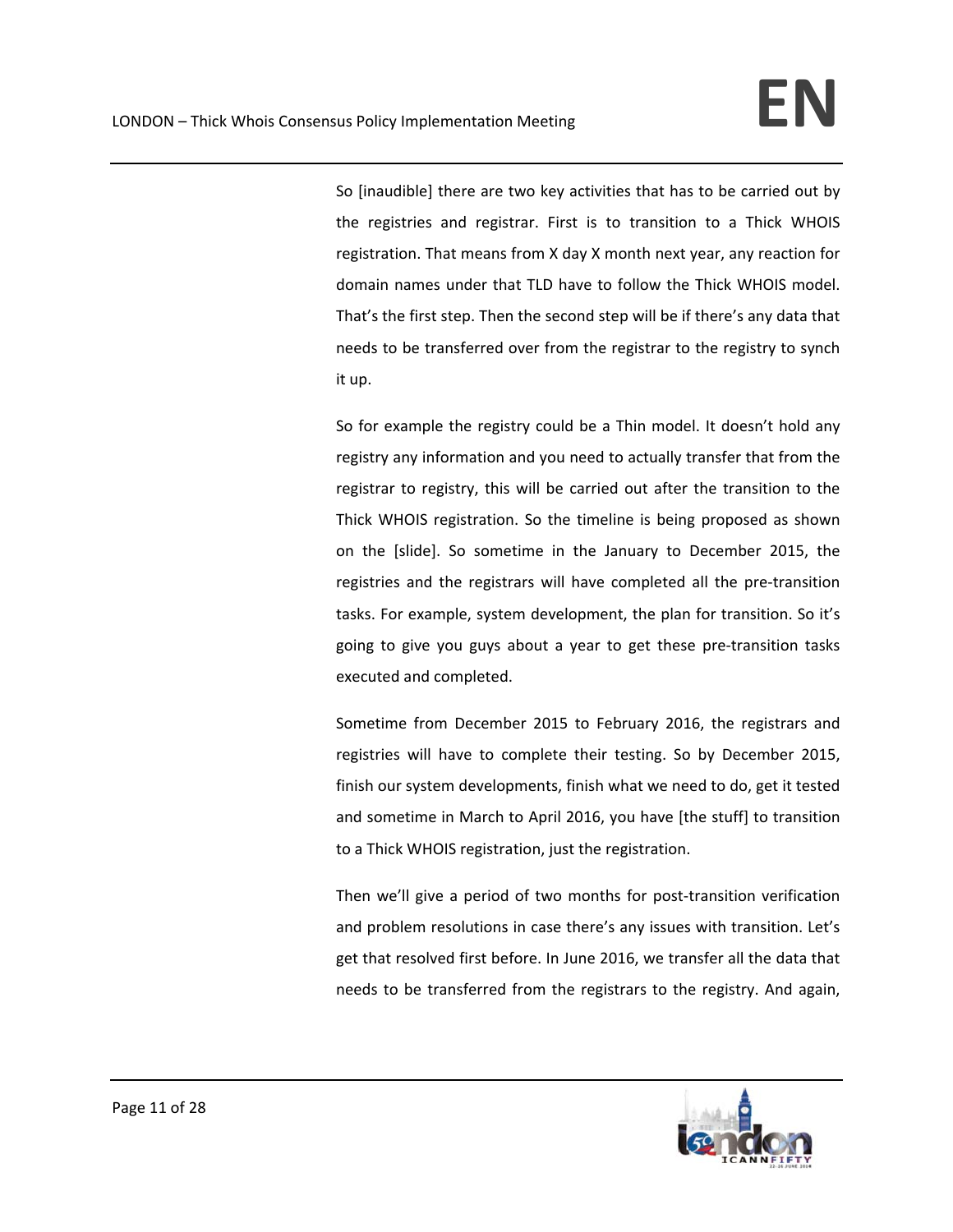So [inaudible] there are two key activities that has to be carried out by the registries and registrar. First is to transition to a Thick WHOIS registration. That means from X day X month next year, any reaction for domain names under that TLD have to follow the Thick WHOIS model. That's the first step. Then the second step will be if there's any data that needs to be transferred over from the registrar to the registry to synch it up.

So for example the registry could be a Thin model. It doesn't hold any registry any information and you need to actually transfer that from the registrar to registry, this will be carried out after the transition to the Thick WHOIS registration. So the timeline is being proposed as shown on the [slide]. So sometime in the January to December 2015, the registries and the registrars will have completed all the pre-transition tasks. For example, system development, the plan for transition. So it's going to give you guys about a year to get these pre‐transition tasks executed and completed.

Sometime from December 2015 to February 2016, the registrars and registries will have to complete their testing. So by December 2015, finish our system developments, finish what we need to do, get it tested and sometime in March to April 2016, you have [the stuff] to transition to a Thick WHOIS registration, just the registration.

Then we'll give a period of two months for post-transition verification and problem resolutions in case there's any issues with transition. Let's get that resolved first before. In June 2016, we transfer all the data that needs to be transferred from the registrars to the registry. And again,

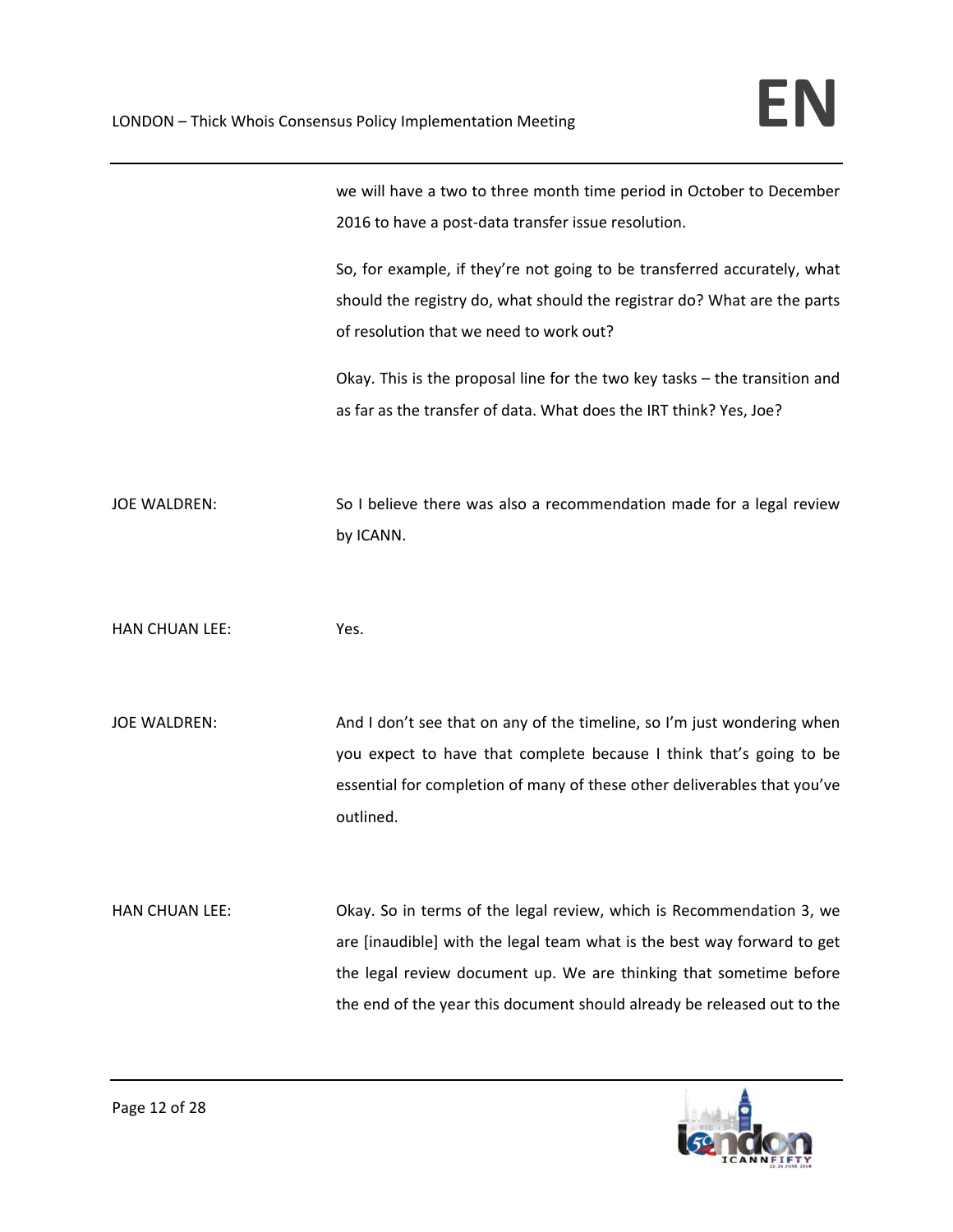we will have a two to three month time period in October to December 2016 to have a post-data transfer issue resolution.

So, for example, if they're not going to be transferred accurately, what should the registry do, what should the registrar do? What are the parts of resolution that we need to work out?

Okay. This is the proposal line for the two key tasks – the transition and as far as the transfer of data. What does the IRT think? Yes, Joe?

JOE WALDREN: So I believe there was also a recommendation made for a legal review by ICANN.

HAN CHUAN LEE: Yes.

JOE WALDREN: And I don't see that on any of the timeline, so I'm just wondering when you expect to have that complete because I think that's going to be essential for completion of many of these other deliverables that you've outlined.

HAN CHUAN LEE: Okay. So in terms of the legal review, which is Recommendation 3, we are [inaudible] with the legal team what is the best way forward to get the legal review document up. We are thinking that sometime before the end of the year this document should already be released out to the

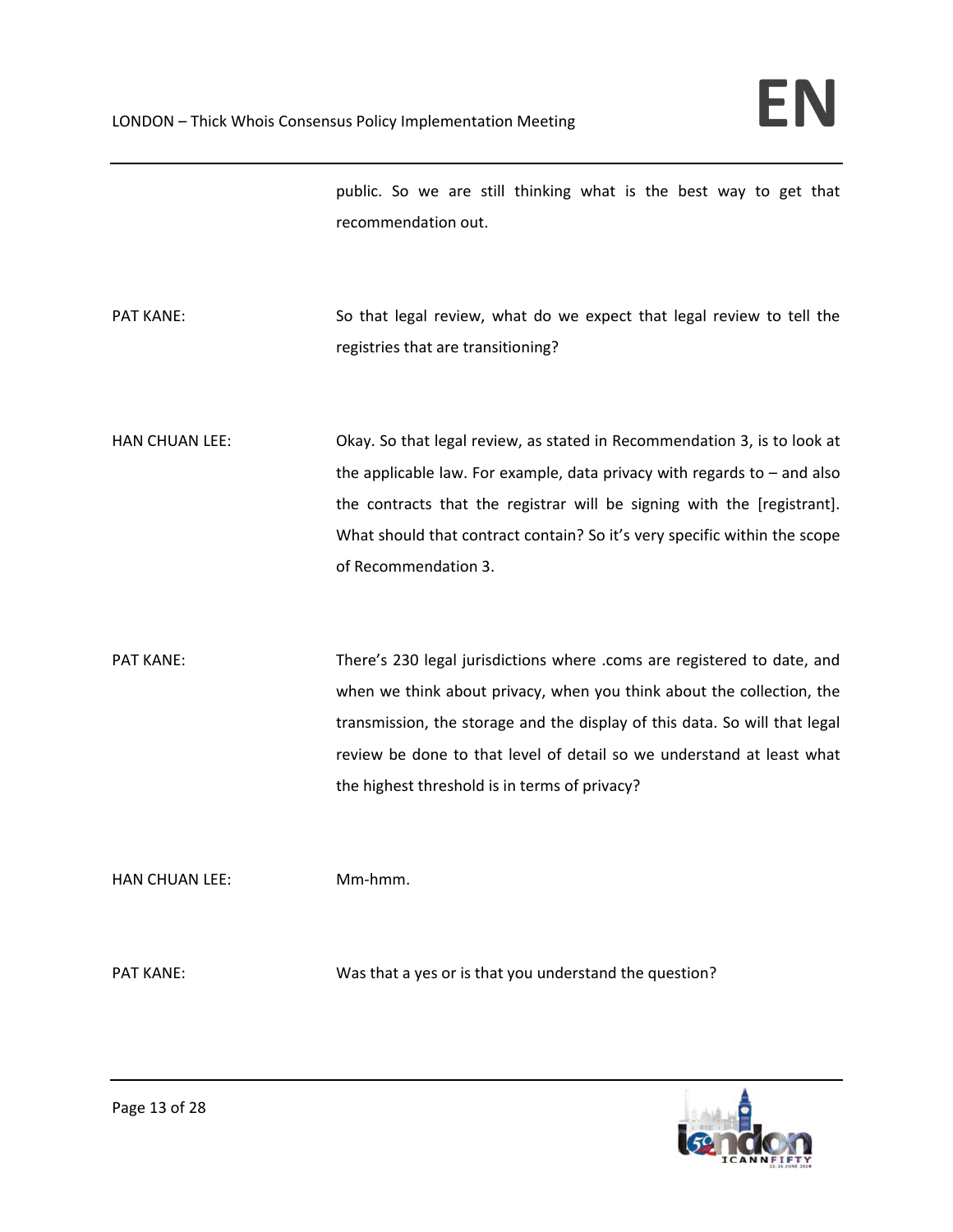public. So we are still thinking what is the best way to get that recommendation out.

- PAT KANE: So that legal review, what do we expect that legal review to tell the registries that are transitioning?
- HAN CHUAN LEE: Okay. So that legal review, as stated in Recommendation 3, is to look at the applicable law. For example, data privacy with regards to  $-$  and also the contracts that the registrar will be signing with the [registrant]. What should that contract contain? So it's very specific within the scope of Recommendation 3.
- PAT KANE: There's 230 legal jurisdictions where .coms are registered to date, and when we think about privacy, when you think about the collection, the transmission, the storage and the display of this data. So will that legal review be done to that level of detail so we understand at least what the highest threshold is in terms of privacy?

HAN CHUAN LEE: Mm‐hmm.

PAT KANE: Was that a yes or is that you understand the question?

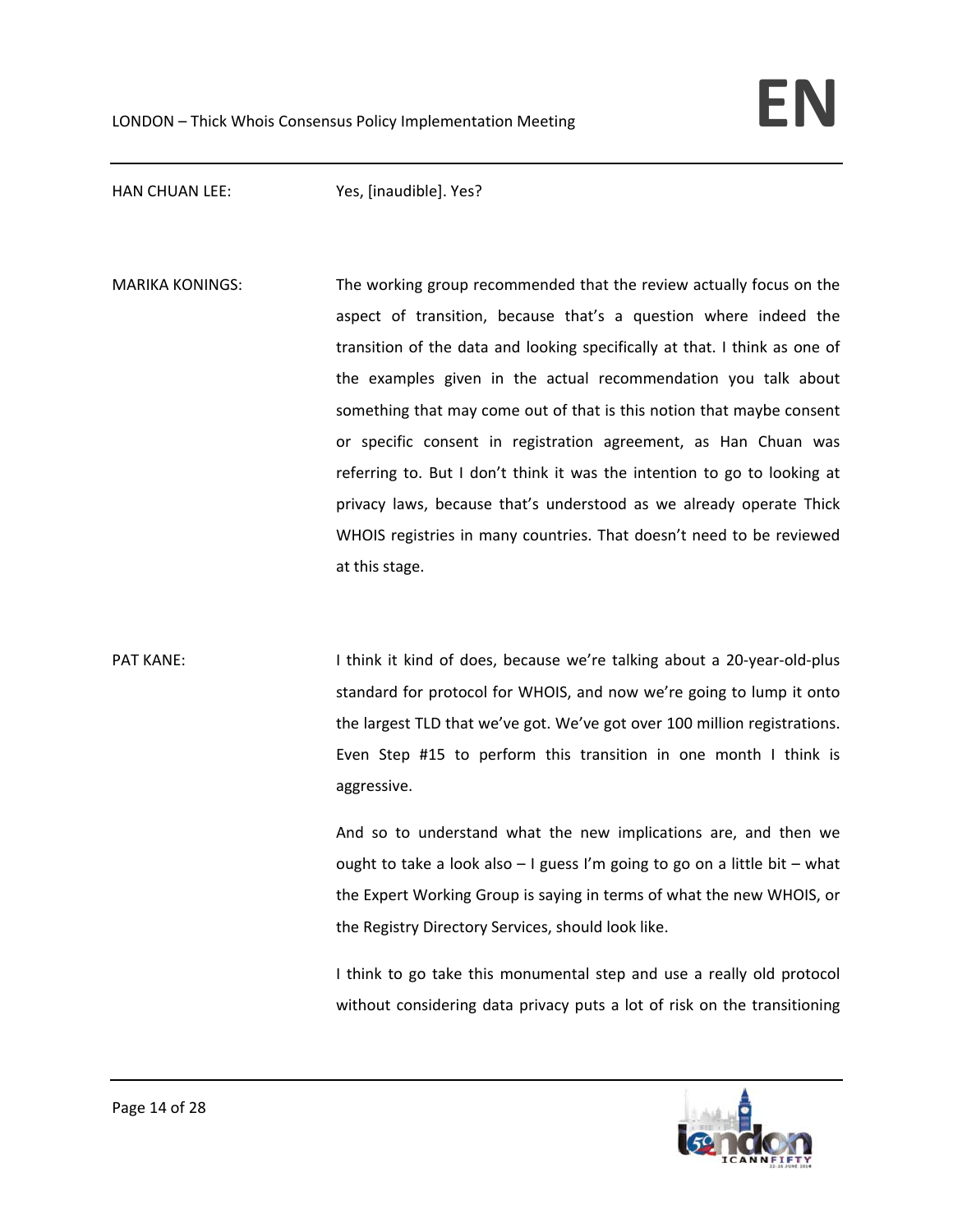HAN CHUAN LEE: Yes, [inaudible]. Yes?

MARIKA KONINGS: The working group recommended that the review actually focus on the aspect of transition, because that's a question where indeed the transition of the data and looking specifically at that. I think as one of the examples given in the actual recommendation you talk about something that may come out of that is this notion that maybe consent or specific consent in registration agreement, as Han Chuan was referring to. But I don't think it was the intention to go to looking at privacy laws, because that's understood as we already operate Thick WHOIS registries in many countries. That doesn't need to be reviewed at this stage.

PAT KANE: I think it kind of does, because we're talking about a 20-year-old-plus standard for protocol for WHOIS, and now we're going to lump it onto the largest TLD that we've got. We've got over 100 million registrations. Even Step #15 to perform this transition in one month I think is aggressive.

> And so to understand what the new implications are, and then we ought to take a look also – I guess I'm going to go on a little bit – what the Expert Working Group is saying in terms of what the new WHOIS, or the Registry Directory Services, should look like.

> I think to go take this monumental step and use a really old protocol without considering data privacy puts a lot of risk on the transitioning

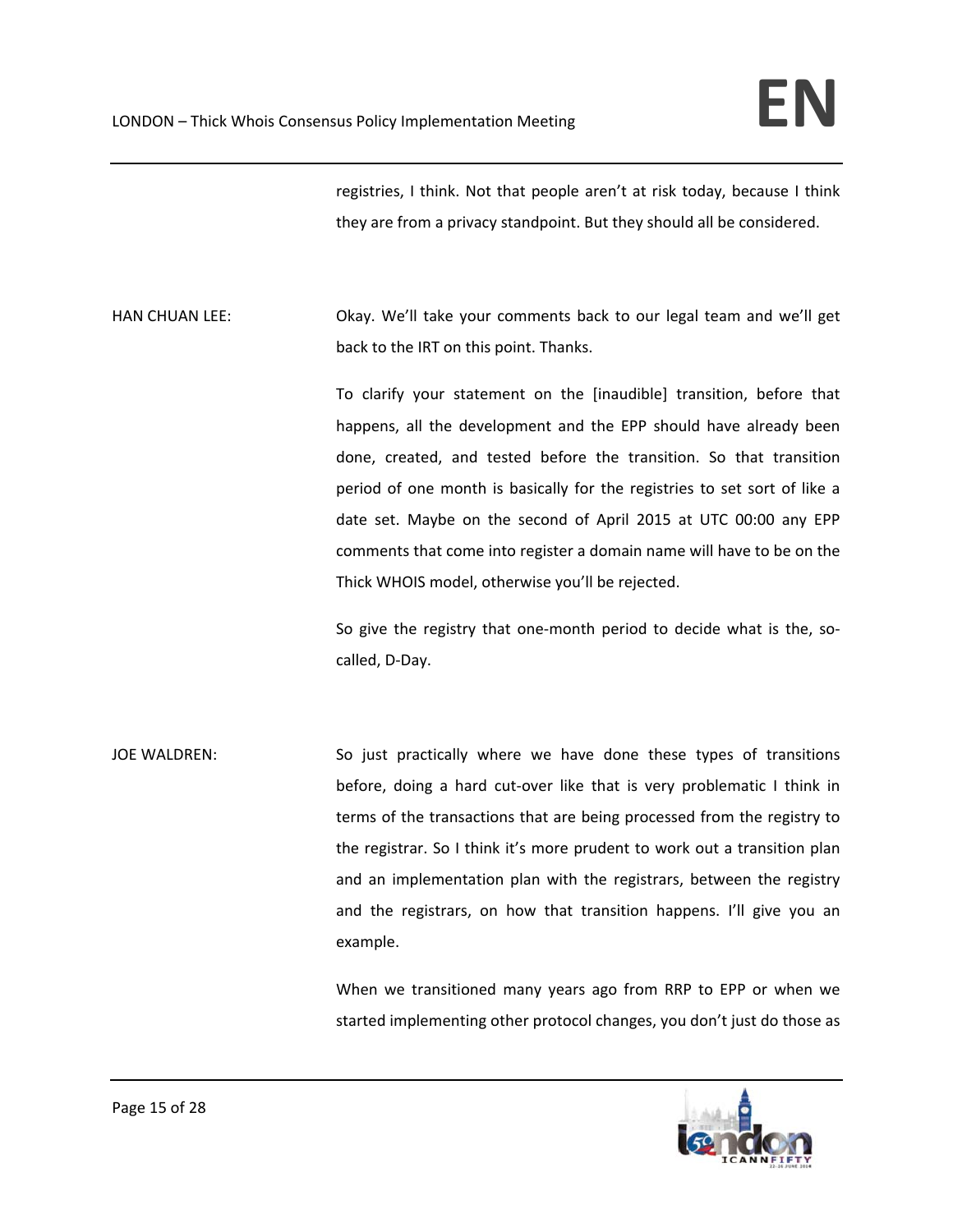registries, I think. Not that people aren't at risk today, because I think they are from a privacy standpoint. But they should all be considered.

HAN CHUAN LEE: Okay. We'll take your comments back to our legal team and we'll get back to the IRT on this point. Thanks.

> To clarify your statement on the [inaudible] transition, before that happens, all the development and the EPP should have already been done, created, and tested before the transition. So that transition period of one month is basically for the registries to set sort of like a date set. Maybe on the second of April 2015 at UTC 00:00 any EPP comments that come into register a domain name will have to be on the Thick WHOIS model, otherwise you'll be rejected.

> So give the registry that one-month period to decide what is the, socalled, D‐Day.

JOE WALDREN: So just practically where we have done these types of transitions before, doing a hard cut-over like that is very problematic I think in terms of the transactions that are being processed from the registry to the registrar. So I think it's more prudent to work out a transition plan and an implementation plan with the registrars, between the registry and the registrars, on how that transition happens. I'll give you an example.

> When we transitioned many years ago from RRP to EPP or when we started implementing other protocol changes, you don't just do those as

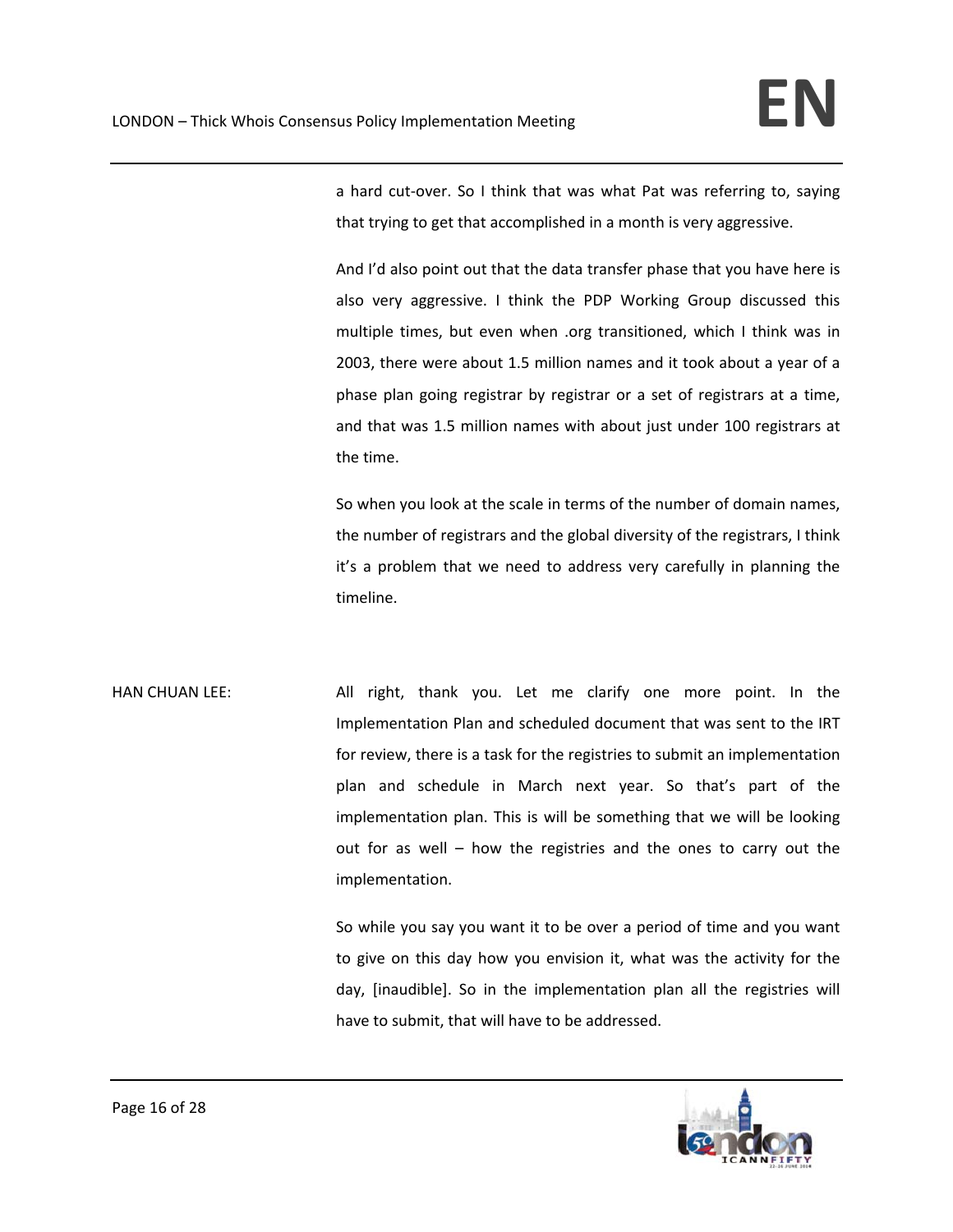a hard cut‐over. So I think that was what Pat was referring to, saying that trying to get that accomplished in a month is very aggressive.

And I'd also point out that the data transfer phase that you have here is also very aggressive. I think the PDP Working Group discussed this multiple times, but even when .org transitioned, which I think was in 2003, there were about 1.5 million names and it took about a year of a phase plan going registrar by registrar or a set of registrars at a time, and that was 1.5 million names with about just under 100 registrars at the time.

So when you look at the scale in terms of the number of domain names, the number of registrars and the global diversity of the registrars, I think it's a problem that we need to address very carefully in planning the timeline.

HAN CHUAN LEE: All right, thank you. Let me clarify one more point. In the Implementation Plan and scheduled document that was sent to the IRT for review, there is a task for the registries to submit an implementation plan and schedule in March next year. So that's part of the implementation plan. This is will be something that we will be looking out for as well – how the registries and the ones to carry out the implementation.

> So while you say you want it to be over a period of time and you want to give on this day how you envision it, what was the activity for the day, [inaudible]. So in the implementation plan all the registries will have to submit, that will have to be addressed.

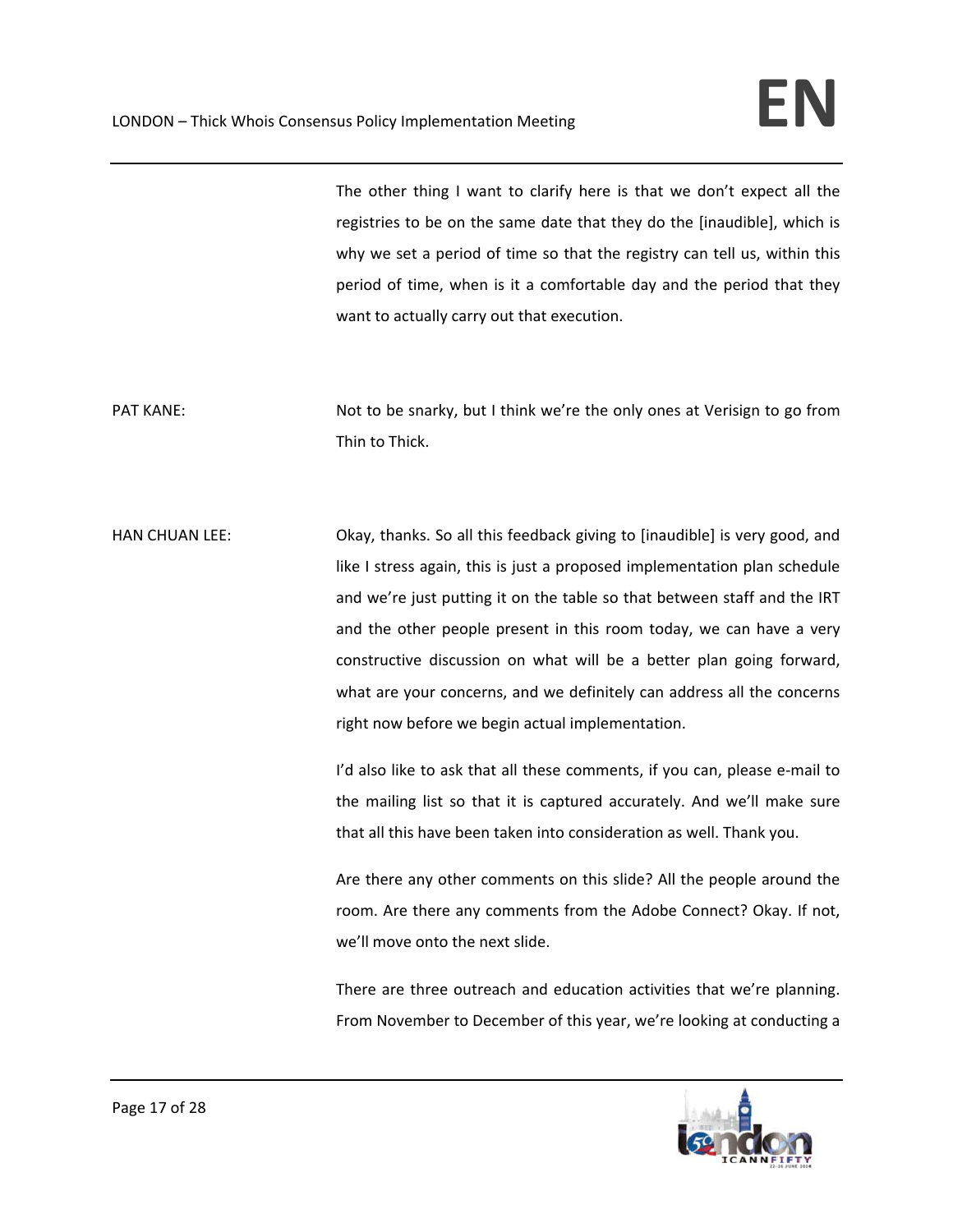The other thing I want to clarify here is that we don't expect all the registries to be on the same date that they do the [inaudible], which is why we set a period of time so that the registry can tell us, within this period of time, when is it a comfortable day and the period that they want to actually carry out that execution.

PAT KANE: Not to be snarky, but I think we're the only ones at Verisign to go from Thin to Thick.

HAN CHUAN LEE: Okay, thanks. So all this feedback giving to [inaudible] is very good, and like I stress again, this is just a proposed implementation plan schedule and we're just putting it on the table so that between staff and the IRT and the other people present in this room today, we can have a very constructive discussion on what will be a better plan going forward, what are your concerns, and we definitely can address all the concerns right now before we begin actual implementation.

> I'd also like to ask that all these comments, if you can, please e-mail to the mailing list so that it is captured accurately. And we'll make sure that all this have been taken into consideration as well. Thank you.

> Are there any other comments on this slide? All the people around the room. Are there any comments from the Adobe Connect? Okay. If not, we'll move onto the next slide.

> There are three outreach and education activities that we're planning. From November to December of this year, we're looking at conducting a

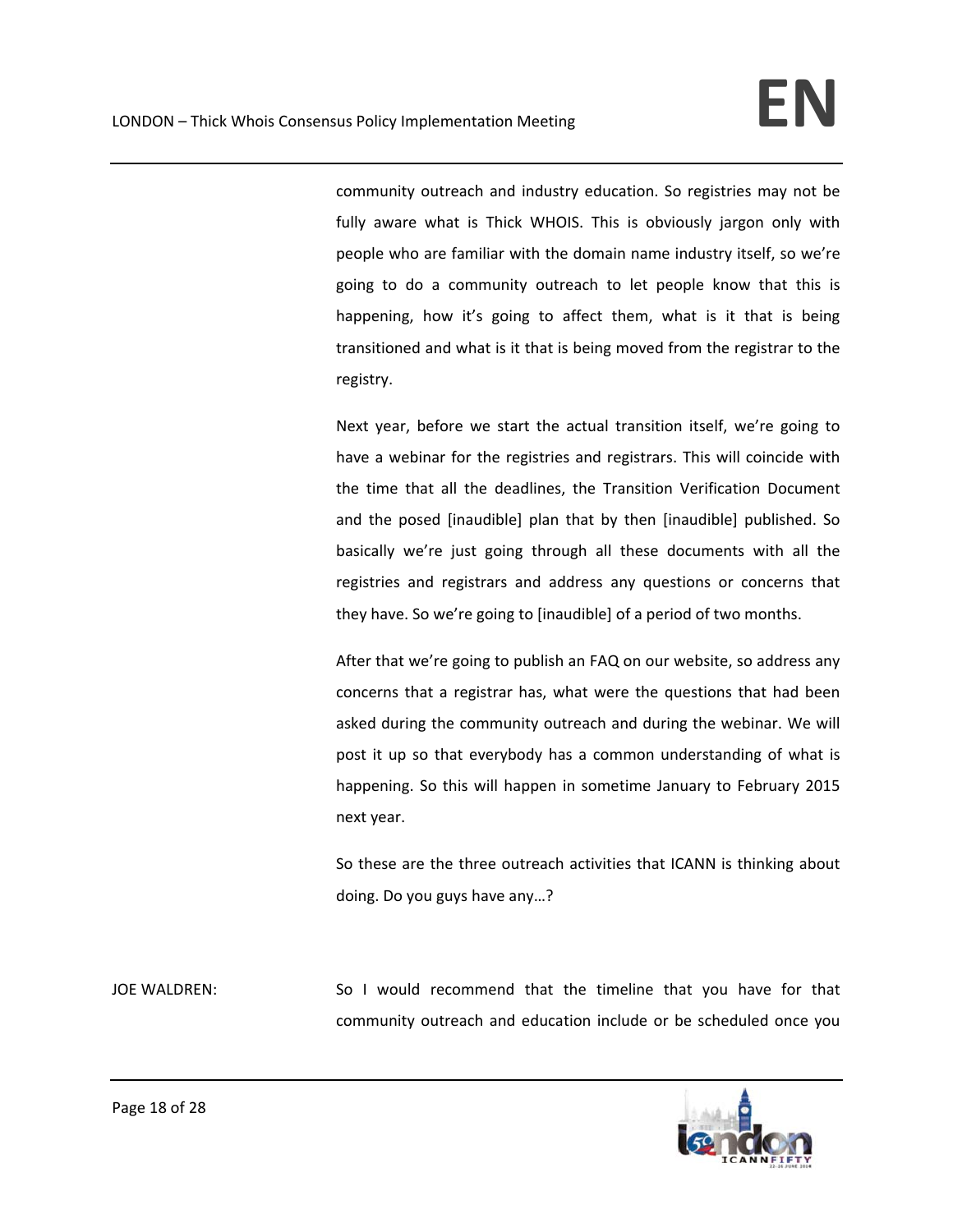community outreach and industry education. So registries may not be fully aware what is Thick WHOIS. This is obviously jargon only with people who are familiar with the domain name industry itself, so we're going to do a community outreach to let people know that this is happening, how it's going to affect them, what is it that is being transitioned and what is it that is being moved from the registrar to the registry.

Next year, before we start the actual transition itself, we're going to have a webinar for the registries and registrars. This will coincide with the time that all the deadlines, the Transition Verification Document and the posed [inaudible] plan that by then [inaudible] published. So basically we're just going through all these documents with all the registries and registrars and address any questions or concerns that they have. So we're going to [inaudible] of a period of two months.

After that we're going to publish an FAQ on our website, so address any concerns that a registrar has, what were the questions that had been asked during the community outreach and during the webinar. We will post it up so that everybody has a common understanding of what is happening. So this will happen in sometime January to February 2015 next year.

So these are the three outreach activities that ICANN is thinking about doing. Do you guys have any…?

JOE WALDREN: So I would recommend that the timeline that you have for that community outreach and education include or be scheduled once you

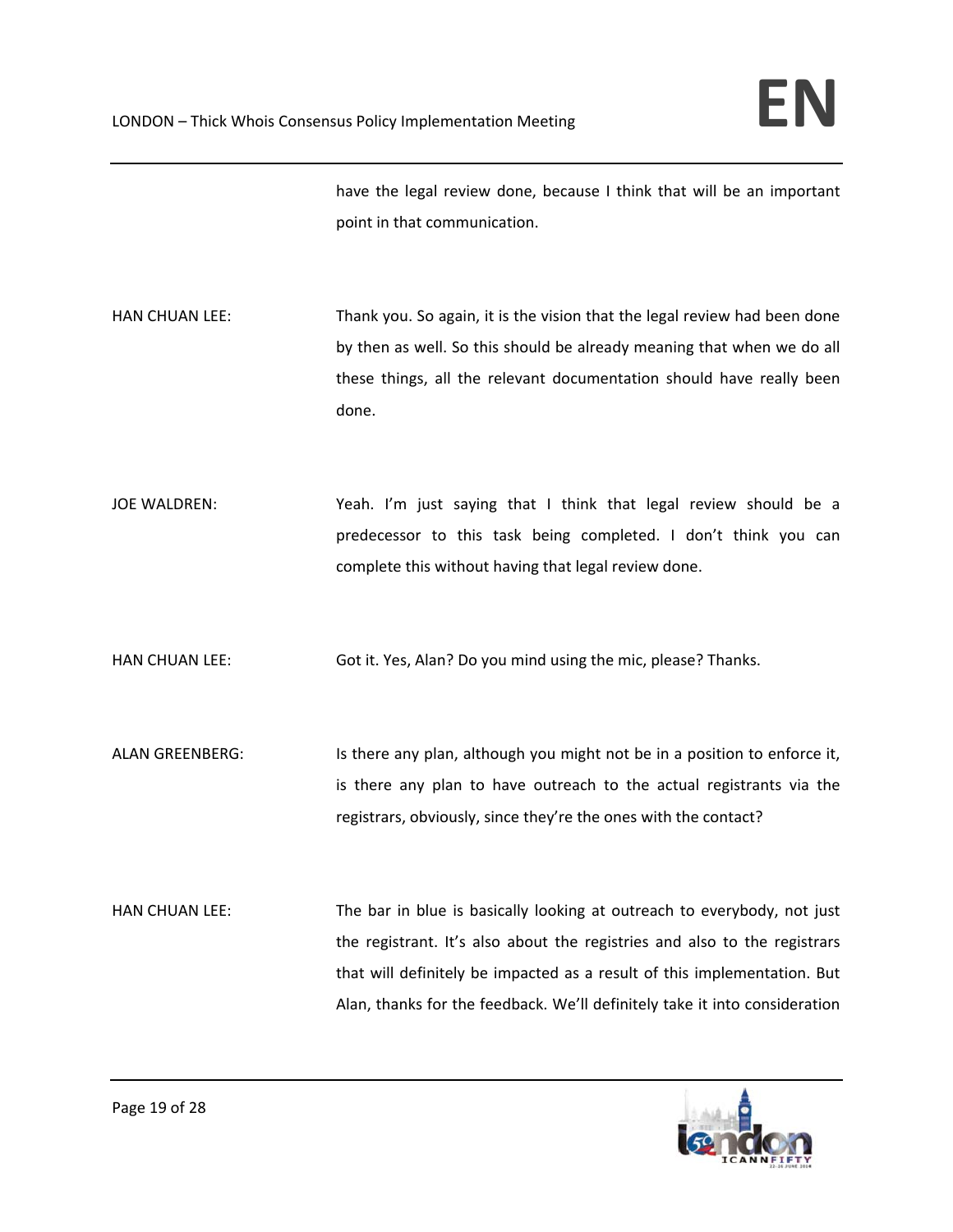have the legal review done, because I think that will be an important point in that communication.

HAN CHUAN LEE: Thank you. So again, it is the vision that the legal review had been done by then as well. So this should be already meaning that when we do all these things, all the relevant documentation should have really been done.

JOE WALDREN: The Steah. I'm just saying that I think that legal review should be a predecessor to this task being completed. I don't think you can complete this without having that legal review done.

HAN CHUAN LEE: Got it. Yes, Alan? Do you mind using the mic, please? Thanks.

ALAN GREENBERG: Is there any plan, although you might not be in a position to enforce it, is there any plan to have outreach to the actual registrants via the registrars, obviously, since they're the ones with the contact?

HAN CHUAN LEE: The bar in blue is basically looking at outreach to everybody, not just the registrant. It's also about the registries and also to the registrars that will definitely be impacted as a result of this implementation. But Alan, thanks for the feedback. We'll definitely take it into consideration

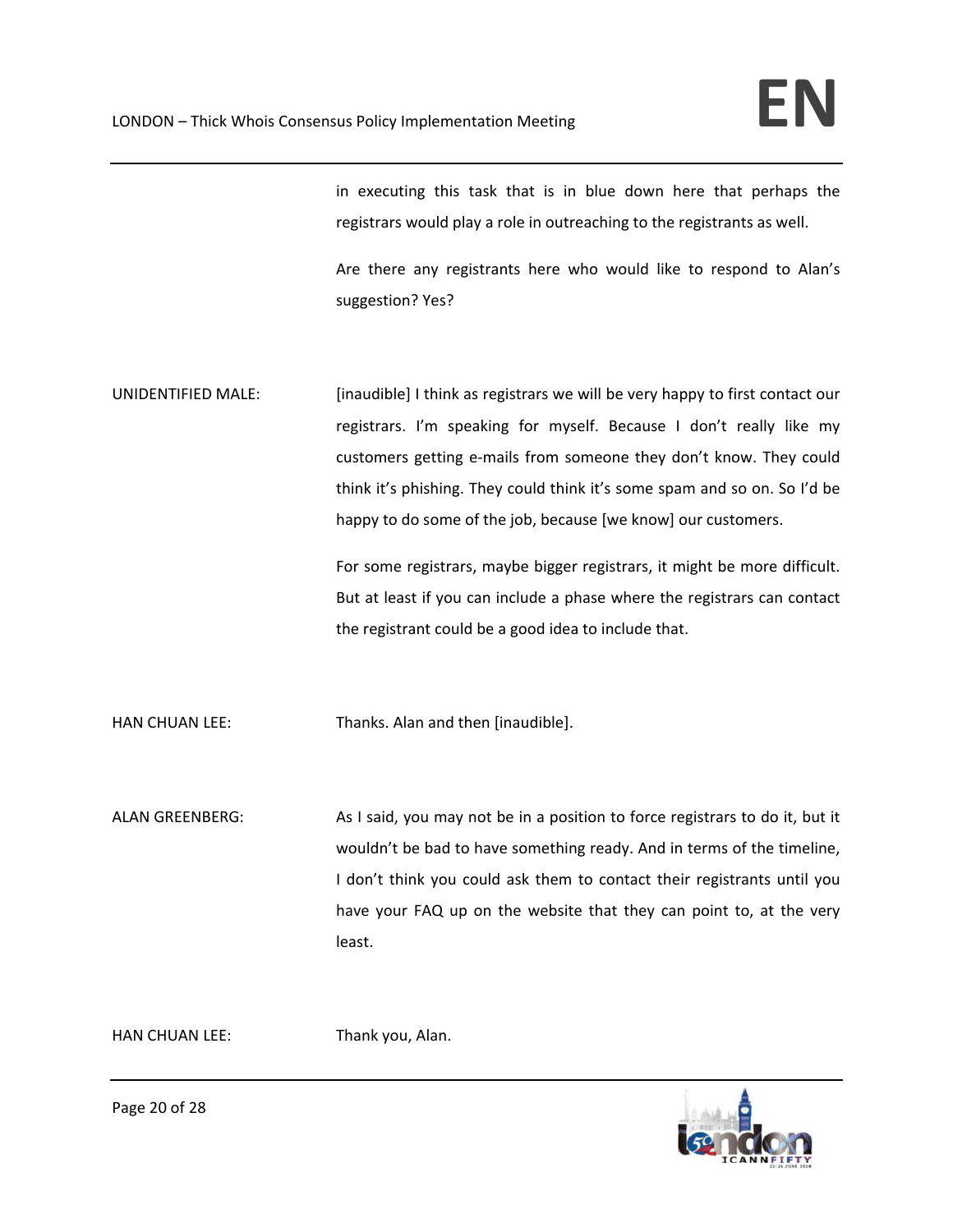in executing this task that is in blue down here that perhaps the registrars would play a role in outreaching to the registrants as well.

Are there any registrants here who would like to respond to Alan's suggestion? Yes?

UNIDENTIFIED MALE: [inaudible] I think as registrars we will be very happy to first contact our registrars. I'm speaking for myself. Because I don't really like my customers getting e-mails from someone they don't know. They could think it's phishing. They could think it's some spam and so on. So I'd be happy to do some of the job, because [we know] our customers.

> For some registrars, maybe bigger registrars, it might be more difficult. But at least if you can include a phase where the registrars can contact the registrant could be a good idea to include that.

HAN CHUAN LEE: Thanks. Alan and then [inaudible].

ALAN GREENBERG: As I said, you may not be in a position to force registrars to do it, but it wouldn't be bad to have something ready. And in terms of the timeline, I don't think you could ask them to contact their registrants until you have your FAQ up on the website that they can point to, at the very least.

HAN CHUAN LEE: Thank you, Alan.



Page 20 of 28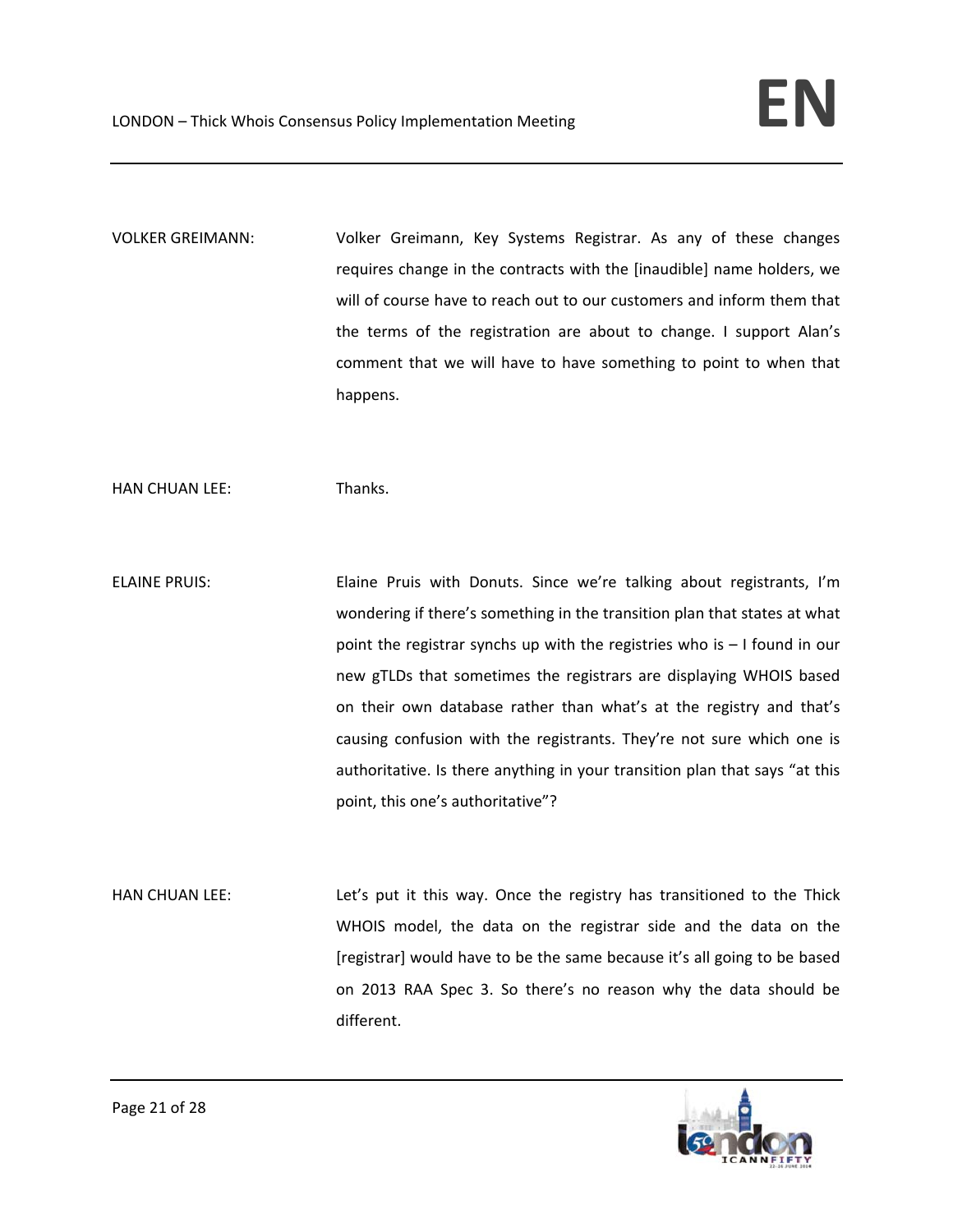VOLKER GREIMANN: Volker Greimann, Key Systems Registrar. As any of these changes requires change in the contracts with the [inaudible] name holders, we will of course have to reach out to our customers and inform them that the terms of the registration are about to change. I support Alan's comment that we will have to have something to point to when that happens.

HAN CHUAN LEE: Thanks.

ELAINE PRUIS: Elaine Pruis with Donuts. Since we're talking about registrants, I'm wondering if there's something in the transition plan that states at what point the registrar synchs up with the registries who is – I found in our new gTLDs that sometimes the registrars are displaying WHOIS based on their own database rather than what's at the registry and that's causing confusion with the registrants. They're not sure which one is authoritative. Is there anything in your transition plan that says "at this point, this one's authoritative"?

HAN CHUAN LEE: Let's put it this way. Once the registry has transitioned to the Thick WHOIS model, the data on the registrar side and the data on the [registrar] would have to be the same because it's all going to be based on 2013 RAA Spec 3. So there's no reason why the data should be different.

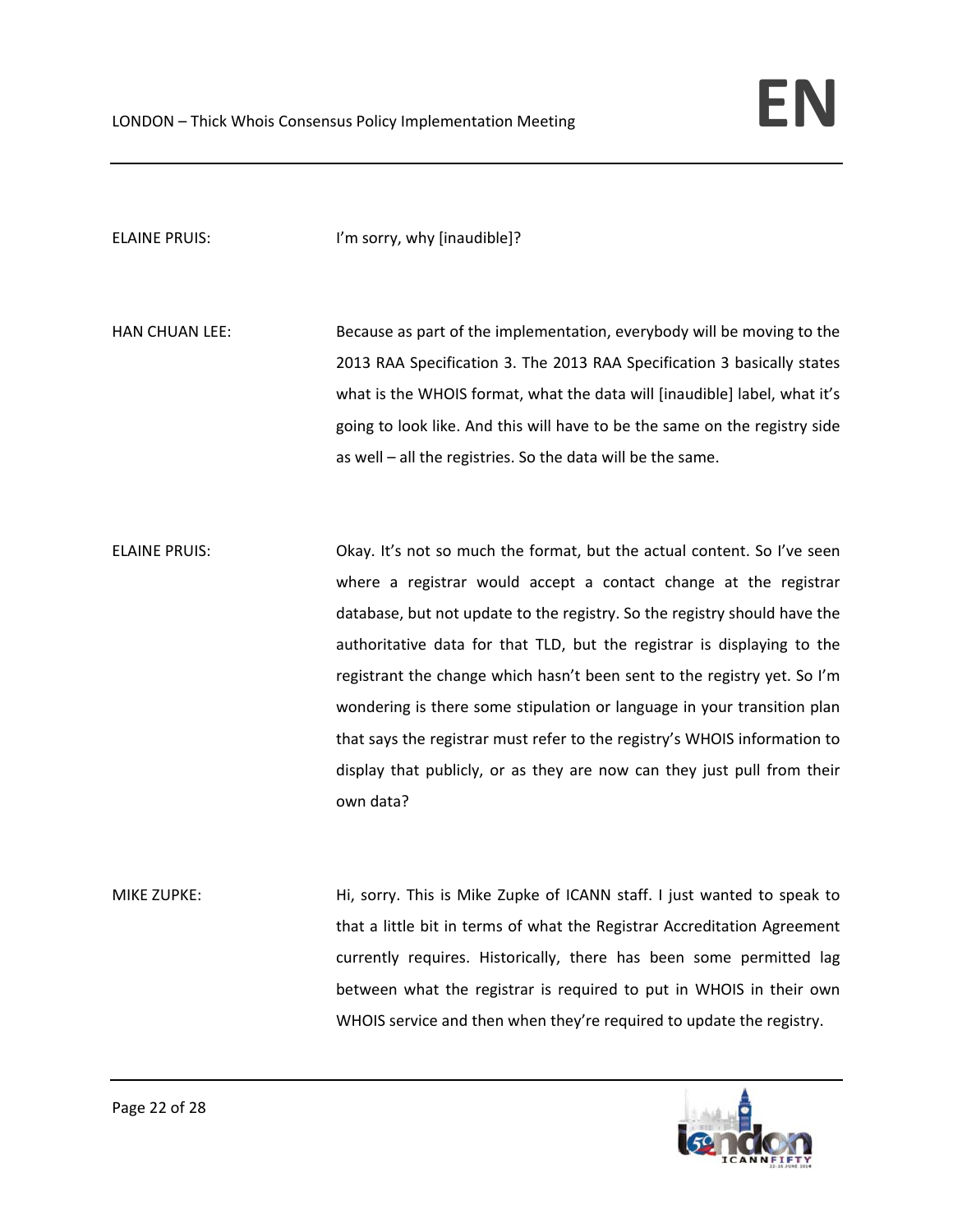ELAINE PRUIS: I'm sorry, why [inaudible]?

HAN CHUAN LEE: Because as part of the implementation, everybody will be moving to the 2013 RAA Specification 3. The 2013 RAA Specification 3 basically states what is the WHOIS format, what the data will [inaudible] label, what it's going to look like. And this will have to be the same on the registry side as well – all the registries. So the data will be the same.

ELAINE PRUIS: Okay. It's not so much the format, but the actual content. So I've seen where a registrar would accept a contact change at the registrar database, but not update to the registry. So the registry should have the authoritative data for that TLD, but the registrar is displaying to the registrant the change which hasn't been sent to the registry yet. So I'm wondering is there some stipulation or language in your transition plan that says the registrar must refer to the registry's WHOIS information to display that publicly, or as they are now can they just pull from their own data?

MIKE ZUPKE: Hi, sorry. This is Mike Zupke of ICANN staff. I just wanted to speak to that a little bit in terms of what the Registrar Accreditation Agreement currently requires. Historically, there has been some permitted lag between what the registrar is required to put in WHOIS in their own WHOIS service and then when they're required to update the registry.

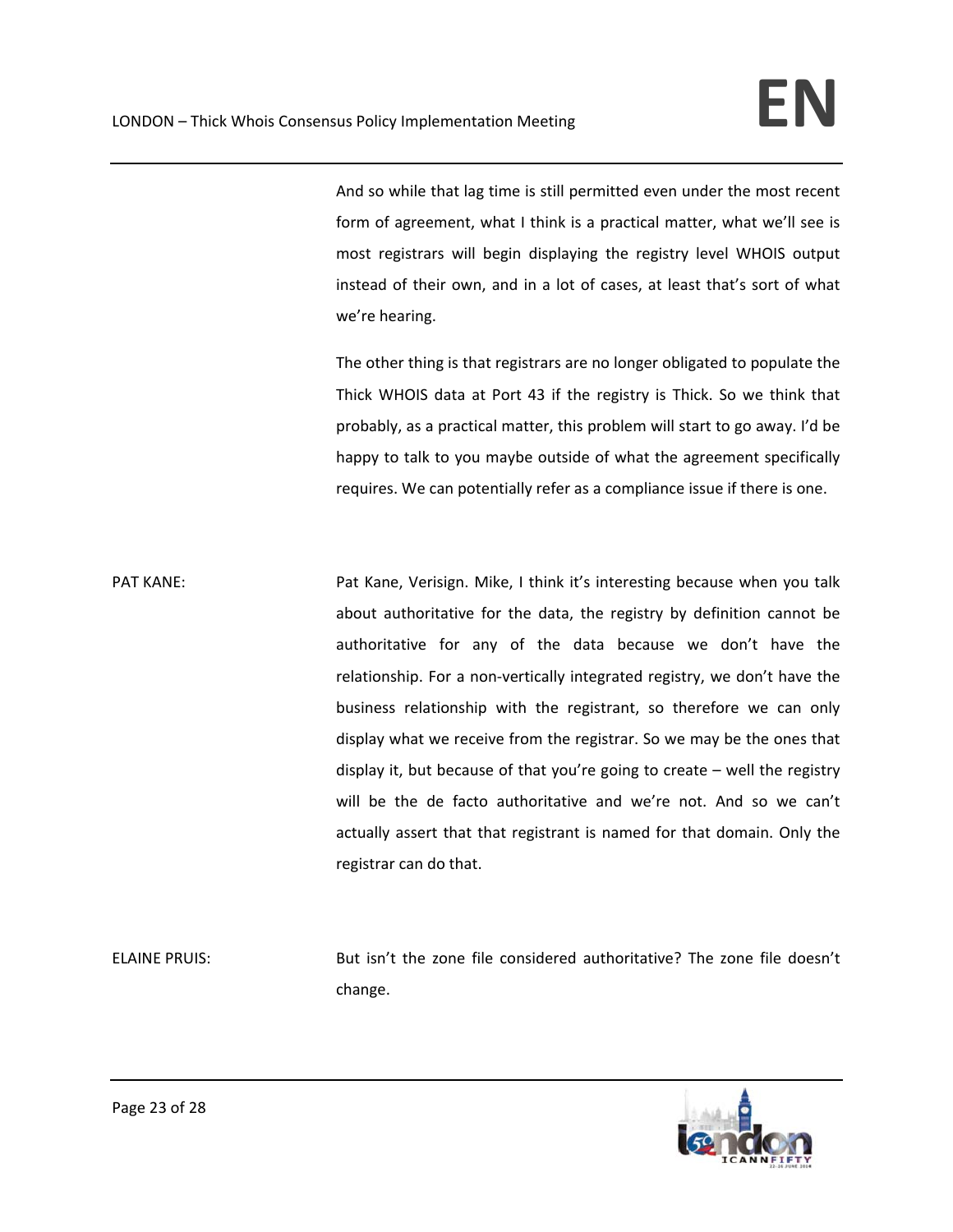And so while that lag time is still permitted even under the most recent form of agreement, what I think is a practical matter, what we'll see is most registrars will begin displaying the registry level WHOIS output instead of their own, and in a lot of cases, at least that's sort of what we're hearing.

The other thing is that registrars are no longer obligated to populate the Thick WHOIS data at Port 43 if the registry is Thick. So we think that probably, as a practical matter, this problem will start to go away. I'd be happy to talk to you maybe outside of what the agreement specifically requires. We can potentially refer as a compliance issue if there is one.

PAT KANE: PAT KANE: Pat Kane, Verisign. Mike, I think it's interesting because when you talk about authoritative for the data, the registry by definition cannot be authoritative for any of the data because we don't have the relationship. For a non‐vertically integrated registry, we don't have the business relationship with the registrant, so therefore we can only display what we receive from the registrar. So we may be the ones that display it, but because of that you're going to create – well the registry will be the de facto authoritative and we're not. And so we can't actually assert that that registrant is named for that domain. Only the registrar can do that.

ELAINE PRUIS: But isn't the zone file considered authoritative? The zone file doesn't change.

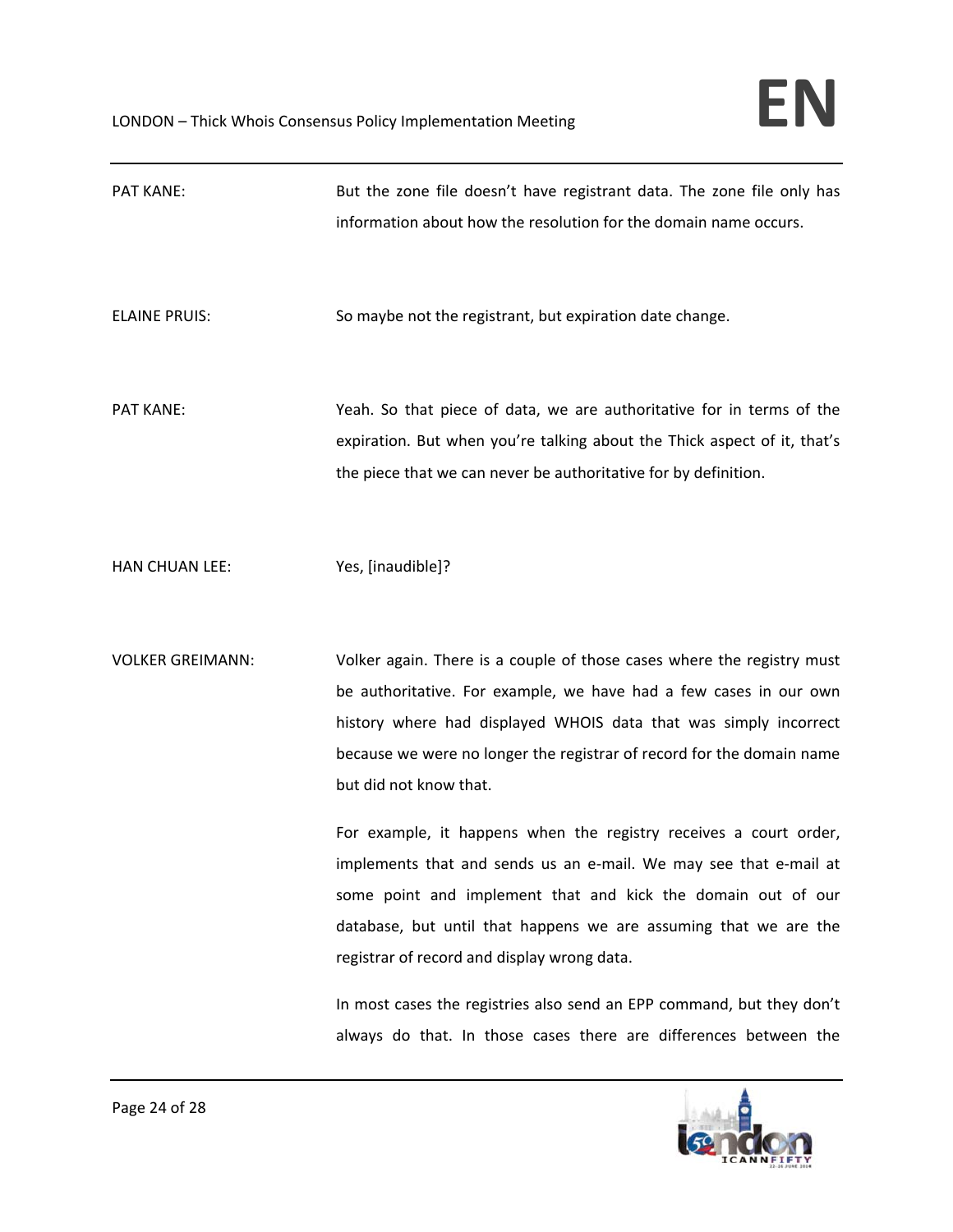| <b>PAT KANE:</b>        | But the zone file doesn't have registrant data. The zone file only has<br>information about how the resolution for the domain name occurs.                                                                                                                                                                                                                                                                                                                                                                                                                                                                                                                                                                                                                                                   |
|-------------------------|----------------------------------------------------------------------------------------------------------------------------------------------------------------------------------------------------------------------------------------------------------------------------------------------------------------------------------------------------------------------------------------------------------------------------------------------------------------------------------------------------------------------------------------------------------------------------------------------------------------------------------------------------------------------------------------------------------------------------------------------------------------------------------------------|
| <b>ELAINE PRUIS:</b>    | So maybe not the registrant, but expiration date change.                                                                                                                                                                                                                                                                                                                                                                                                                                                                                                                                                                                                                                                                                                                                     |
| <b>PAT KANE:</b>        | Yeah. So that piece of data, we are authoritative for in terms of the<br>expiration. But when you're talking about the Thick aspect of it, that's<br>the piece that we can never be authoritative for by definition.                                                                                                                                                                                                                                                                                                                                                                                                                                                                                                                                                                         |
| HAN CHUAN LEE:          | Yes, [inaudible]?                                                                                                                                                                                                                                                                                                                                                                                                                                                                                                                                                                                                                                                                                                                                                                            |
| <b>VOLKER GREIMANN:</b> | Volker again. There is a couple of those cases where the registry must<br>be authoritative. For example, we have had a few cases in our own<br>history where had displayed WHOIS data that was simply incorrect<br>because we were no longer the registrar of record for the domain name<br>but did not know that.<br>For example, it happens when the registry receives a court order,<br>implements that and sends us an e-mail. We may see that e-mail at<br>some point and implement that and kick the domain out of our<br>database, but until that happens we are assuming that we are the<br>registrar of record and display wrong data.<br>In most cases the registries also send an EPP command, but they don't<br>always do that. In those cases there are differences between the |

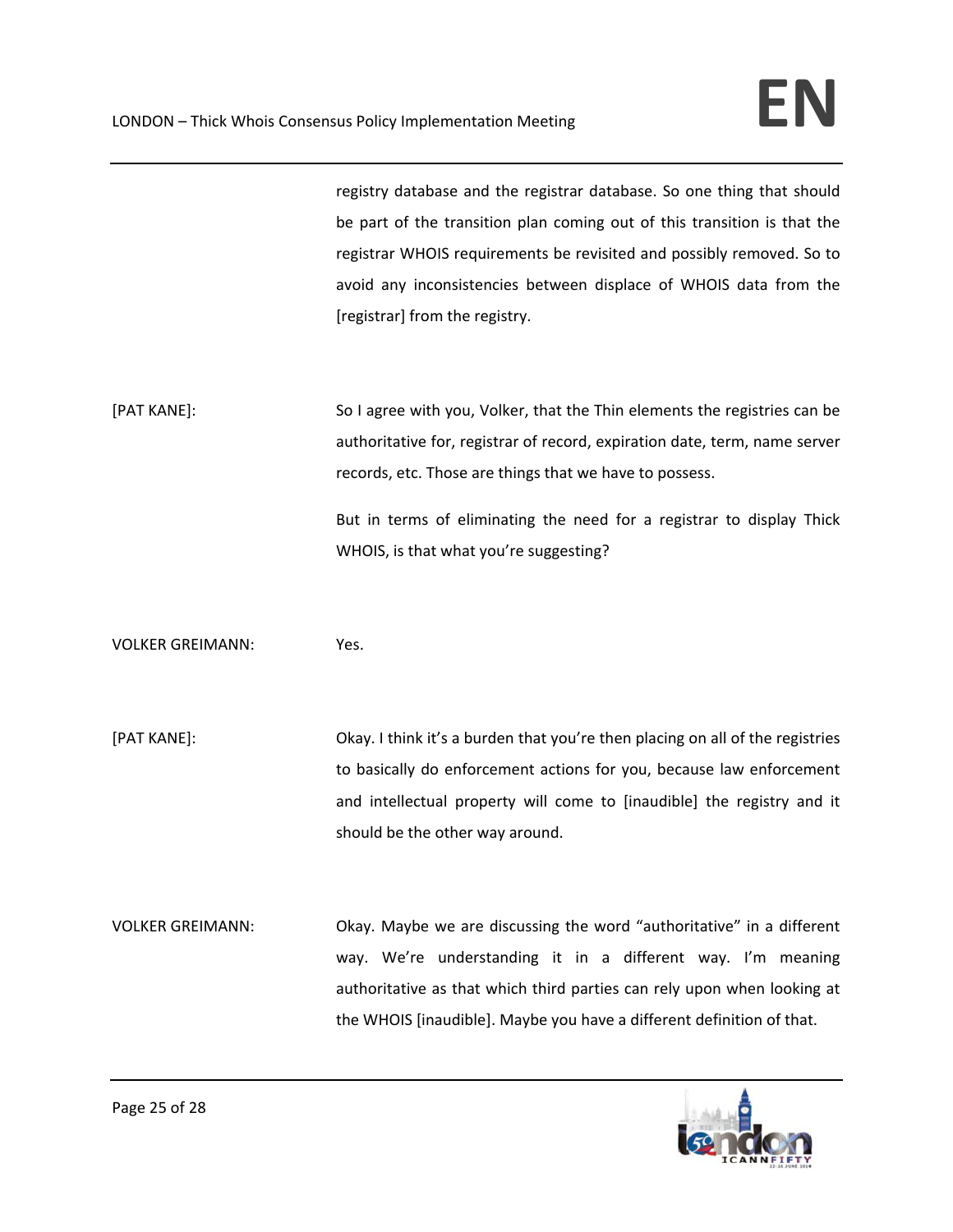registry database and the registrar database. So one thing that should be part of the transition plan coming out of this transition is that the registrar WHOIS requirements be revisited and possibly removed. So to avoid any inconsistencies between displace of WHOIS data from the [registrar] from the registry.

[PAT KANE]: So I agree with you, Volker, that the Thin elements the registries can be authoritative for, registrar of record, expiration date, term, name server records, etc. Those are things that we have to possess.

> But in terms of eliminating the need for a registrar to display Thick WHOIS, is that what you're suggesting?

VOLKER GREIMANN: Yes.

[PAT KANE]: Okay. I think it's a burden that you're then placing on all of the registries to basically do enforcement actions for you, because law enforcement and intellectual property will come to [inaudible] the registry and it should be the other way around.

VOLKER GREIMANN: Okay. Maybe we are discussing the word "authoritative" in a different way. We're understanding it in a different way. I'm meaning authoritative as that which third parties can rely upon when looking at the WHOIS [inaudible]. Maybe you have a different definition of that.

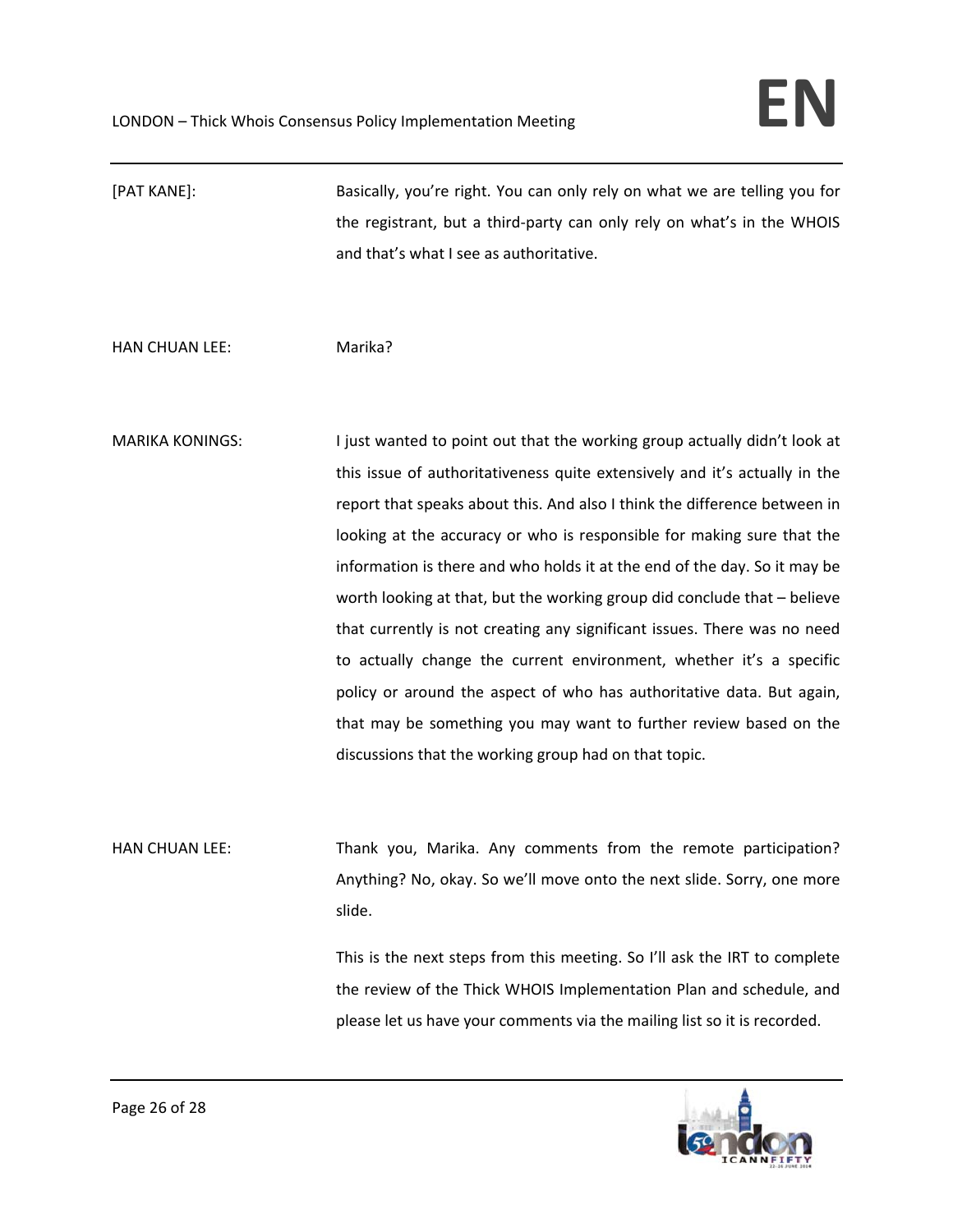[PAT KANE]: Basically, you're right. You can only rely on what we are telling you for the registrant, but a third‐party can only rely on what's in the WHOIS and that's what I see as authoritative.

HAN CHUAN LEE: Marika?

MARIKA KONINGS: I just wanted to point out that the working group actually didn't look at this issue of authoritativeness quite extensively and it's actually in the report that speaks about this. And also I think the difference between in looking at the accuracy or who is responsible for making sure that the information is there and who holds it at the end of the day. So it may be worth looking at that, but the working group did conclude that – believe that currently is not creating any significant issues. There was no need to actually change the current environment, whether it's a specific policy or around the aspect of who has authoritative data. But again, that may be something you may want to further review based on the discussions that the working group had on that topic.

HAN CHUAN LEE: Thank you, Marika. Any comments from the remote participation? Anything? No, okay. So we'll move onto the next slide. Sorry, one more slide.

> This is the next steps from this meeting. So I'll ask the IRT to complete the review of the Thick WHOIS Implementation Plan and schedule, and please let us have your comments via the mailing list so it is recorded.

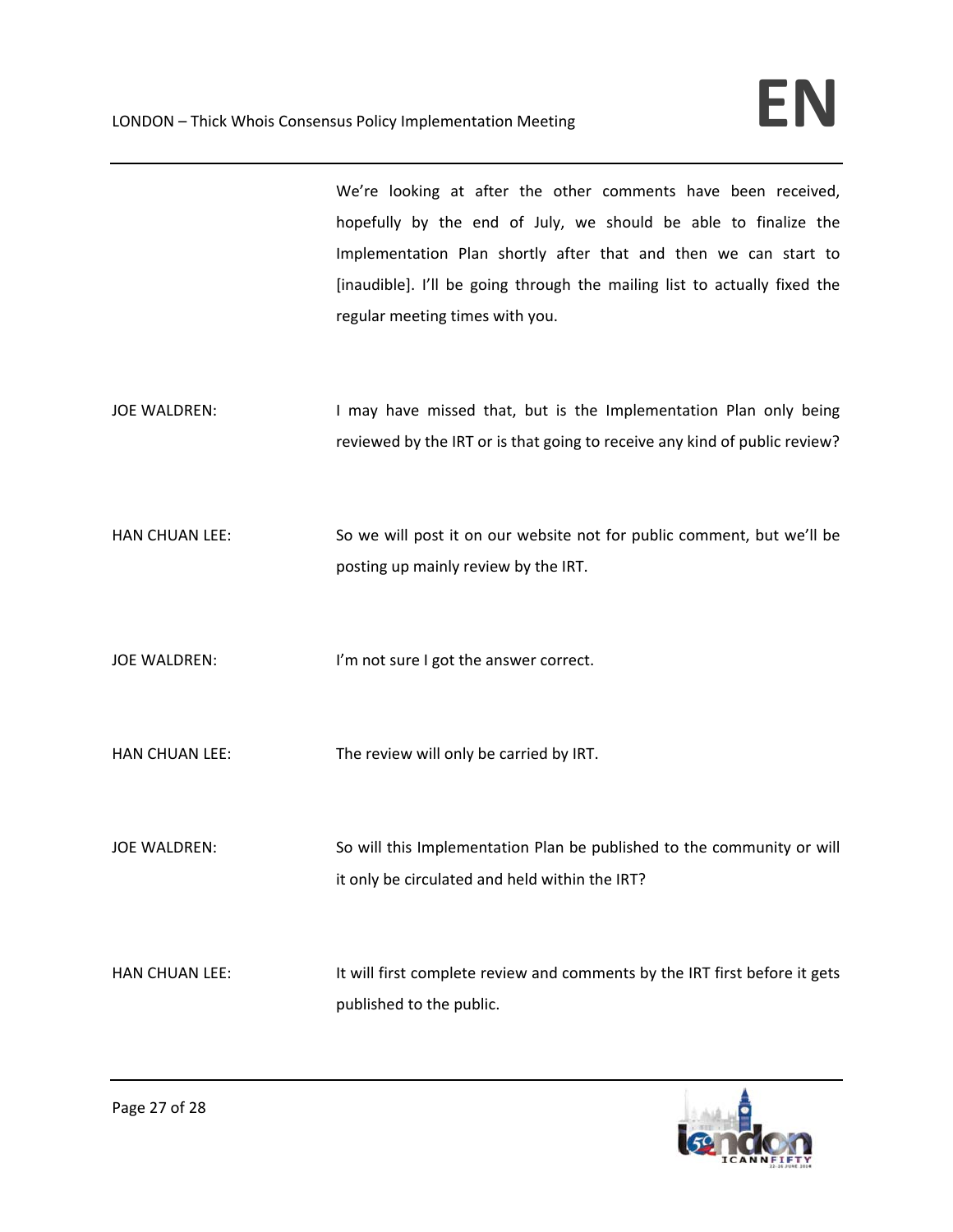We're looking at after the other comments have been received, hopefully by the end of July, we should be able to finalize the Implementation Plan shortly after that and then we can start to [inaudible]. I'll be going through the mailing list to actually fixed the regular meeting times with you.

- JOE WALDREN: I may have missed that, but is the Implementation Plan only being reviewed by the IRT or is that going to receive any kind of public review?
- HAN CHUAN LEE: So we will post it on our website not for public comment, but we'll be posting up mainly review by the IRT.

JOE WALDREN: I'm not sure I got the answer correct.

HAN CHUAN LEE: The review will only be carried by IRT.

JOE WALDREN: So will this Implementation Plan be published to the community or will it only be circulated and held within the IRT?

HAN CHUAN LEE: It will first complete review and comments by the IRT first before it gets published to the public.